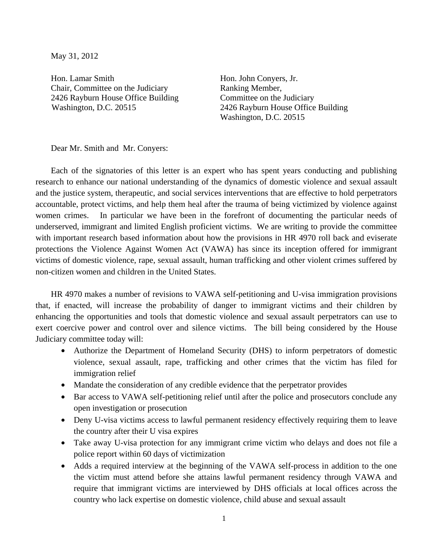May 31, 2012

Hon. Lamar Smith Chair, Committee on the Judiciary 2426 Rayburn House Office Building Washington, D.C. 20515

Hon. John Conyers, Jr. Ranking Member, Committee on the Judiciary 2426 Rayburn House Office Building Washington, D.C. 20515

Dear Mr. Smith and Mr. Conyers:

Each of the signatories of this letter is an expert who has spent years conducting and publishing research to enhance our national understanding of the dynamics of domestic violence and sexual assault and the justice system, therapeutic, and social services interventions that are effective to hold perpetrators accountable, protect victims, and help them heal after the trauma of being victimized by violence against women crimes. In particular we have been in the forefront of documenting the particular needs of underserved, immigrant and limited English proficient victims. We are writing to provide the committee with important research based information about how the provisions in HR 4970 roll back and eviserate protections the Violence Against Women Act (VAWA) has since its inception offered for immigrant victims of domestic violence, rape, sexual assault, human trafficking and other violent crimes suffered by non-citizen women and children in the United States.

HR 4970 makes a number of revisions to VAWA self-petitioning and U-visa immigration provisions that, if enacted, will increase the probability of danger to immigrant victims and their children by enhancing the opportunities and tools that domestic violence and sexual assault perpetrators can use to exert coercive power and control over and silence victims. The bill being considered by the House Judiciary committee today will:

- Authorize the Department of Homeland Security (DHS) to inform perpetrators of domestic violence, sexual assault, rape, trafficking and other crimes that the victim has filed for immigration relief
- Mandate the consideration of any credible evidence that the perpetrator provides
- Bar access to VAWA self-petitioning relief until after the police and prosecutors conclude any open investigation or prosecution
- Deny U-visa victims access to lawful permanent residency effectively requiring them to leave the country after their U visa expires
- Take away U-visa protection for any immigrant crime victim who delays and does not file a police report within 60 days of victimization
- Adds a required interview at the beginning of the VAWA self-process in addition to the one the victim must attend before she attains lawful permanent residency through VAWA and require that immigrant victims are interviewed by DHS officials at local offices across the country who lack expertise on domestic violence, child abuse and sexual assault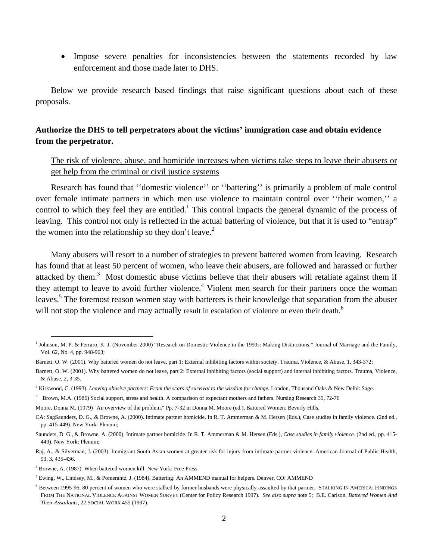• Impose severe penalties for inconsistencies between the statements recorded by law enforcement and those made later to DHS.

Below we provide research based findings that raise significant questions about each of these proposals.

# **Authorize the DHS to tell perpetrators about the victims' immigration case and obtain evidence from the perpetrator.**

The risk of violence, abuse, and homicide increases when victims take steps to leave their abusers or get help from the criminal or civil justice systems

Research has found that ''domestic violence'' or ''battering'' is primarily a problem of male control over female intimate partners in which men use violence to maintain control over ''their women,'' a control to which they feel they are entitled.<sup>1</sup> This control impacts the general dynamic of the process of leaving. This control not only is reflected in the actual battering of violence, but that it is used to "entrap" the women into the relationship so they don't leave.<sup>2</sup>

Many abusers will resort to a number of strategies to prevent battered women from leaving. Research has found that at least 50 percent of women, who leave their abusers, are followed and harassed or further attacked by them.<sup>3</sup> Most domestic abuse victims believe that their abusers will retaliate against them if they attempt to leave to avoid further violence.<sup>4</sup> Violent men search for their partners once the woman leaves.<sup>5</sup> The foremost reason women stay with batterers is their knowledge that separation from the abuser will not stop the violence and may actually result in escalation of violence or even their death.<sup>6</sup>

<sup>&</sup>lt;sup>1</sup> Johnson, M. P. & Ferraro, K. J. (November 2000) "Research on Domestic Violence in the 1990s: Making Distinctions." Journal of Marriage and the Family, Vol. 62, No. 4, pp. 948-963;

Barnett, O. W. (2001). Why battered women do not leave, part 1: External inhibiting factors within society. Trauma, Violence, & Abuse, 1, 343-372;

Barnett, O. W. (2001). Why battered women do not leave, part 2: External inhibiting factors (social support) and internal inhibiting factors. Trauma, Violence, & Abuse, 2, 3-35.

<sup>&</sup>lt;sup>2</sup> Kirkwood, C. (1993). *Leaving abusive partners: From the scars of survival to the wisdom for change*. London, Thousand Oaks & New Delhi: Sage.

<sup>&</sup>lt;sup>3</sup> Brown, M.A. (1986) Social support, stress and health. A comparison of expectant mothers and fathers. Nursing Research 35, 72-76

Moore, Donna M. (1979) "An overview of the problem." Pp. 7-32 in Donna M. Moore (ed.), Battered Women. Beverly Hills,

CA: SagSaunders, D. G., & Browne, A. (2000). Intimate partner homicide. In R. T. Ammerman & M. Hersen (Eds.), Case studies in family violence. (2nd ed., pp. 415-449). New York: Plenum;

Saunders, D. G., & Browne, A. (2000). Intimate partner homicide. In R. T. Ammerman & M. Hersen (Eds.), *Case studies in family violence.* (2nd ed., pp. 415- 449). New York: Plenum;

Raj, A., & Silverman, J. (2003). Immigrant South Asian women at greater risk for injury from intimate partner violence. American Journal of Public Health, 93, 3, 435-436.

<sup>4</sup> Browne, A. (1987). When battered women kill. New York: Free Press

<sup>&</sup>lt;sup>5</sup> Ewing, W., Lindsey, M., & Pomerantz, J. (1984). Battering: An AMMEND manual for helpers. Denver, CO: AMMEND

<sup>&</sup>lt;sup>6</sup> Between 1995-96, 80 percent of women who were stalked by former husbands were physically assaulted by that partner. STALKING IN AMERICA: FINDINGS FROM THE NATIONAL VIOLENCE AGAINST WOMEN SURVEY (Center for Policy Research 1997). *See also supra* note 5; B.E. Carlson, *Battered Women And Their Assailants,* 22 SOCIAL WORK 455 (1997).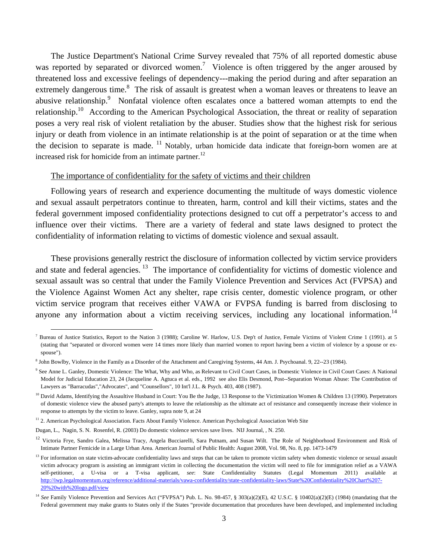The Justice Department's National Crime Survey revealed that 75% of all reported domestic abuse was reported by separated or divorced women.<sup>7</sup> Violence is often triggered by the anger aroused by threatened loss and excessive feelings of dependency---making the period during and after separation an extremely dangerous time.<sup>8</sup> The risk of assault is greatest when a woman leaves or threatens to leave an abusive relationship.<sup>9</sup> Nonfatal violence often escalates once a battered woman attempts to end the relationship.10 According to the American Psychological Association, the threat or reality of separation poses a very real risk of violent retaliation by the abuser. Studies show that the highest risk for serious injury or death from violence in an intimate relationship is at the point of separation or at the time when the decision to separate is made.  $^{11}$  Notably, urban homicide data indicate that foreign-born women are at increased risk for homicide from an intimate partner.<sup>12</sup>

#### The importance of confidentiality for the safety of victims and their children

Following years of research and experience documenting the multitude of ways domestic violence and sexual assault perpetrators continue to threaten, harm, control and kill their victims, states and the federal government imposed confidentiality protections designed to cut off a perpetrator's access to and influence over their victims. There are a variety of federal and state laws designed to protect the confidentiality of information relating to victims of domestic violence and sexual assault.

These provisions generally restrict the disclosure of information collected by victim service providers and state and federal agencies. <sup>13</sup> The importance of confidentiality for victims of domestic violence and sexual assault was so central that under the Family Violence Prevention and Services Act (FVPSA) and the Violence Against Women Act any shelter, rape crisis center, domestic violence program, or other victim service program that receives either VAWA or FVPSA funding is barred from disclosing to anyone any information about a victim receiving services, including any locational information.<sup>14</sup>

<sup>&</sup>lt;sup>7</sup> Bureau of Justice Statistics, Report to the Nation 3 (1988); Caroline W. Harlow, U.S. Dep't of Justice, Female Victims of Violent Crime 1 (1991). at 5 (stating that "separated or divorced women were 14 times more likely than married women to report having been a victim of violence by a spouse or exspouse").

<sup>8</sup> John Bowlby, Violence in the Family as a Disorder of the Attachment and Caregiving Systems, 44 Am. J. Psychoanal. 9, 22--23 (1984).

<sup>&</sup>lt;sup>9</sup> See Anne L. Ganley, Domestic Violence: The What, Why and Who, as Relevant to Civil Court Cases, in Domestic Violence in Civil Court Cases: A National Model for Judicial Education 23, 24 (Jacqueline A. Agtuca et al. eds., 1992 see also Elis Desmond, Post--Separation Woman Abuse: The Contribution of Lawyers as "Barracudas","Advocates", and "Counsellors", 10 Int'l J.L. & Psych. 403, 408 (1987).

<sup>&</sup>lt;sup>10</sup> David Adams, Identifying the Assaultive Husband in Court: You Be the Judge, 13 Response to the Victimization Women & Children 13 (1990). Perpetrators of domestic violence view the abused party's attempts to leave the relationship as the ultimate act of resistance and consequently increase their violence in response to attempts by the victim to leave. Ganley, supra note 9, at 24

<sup>&</sup>lt;sup>11</sup> 2. American Psychological Association. Facts About Family Violence. American Psychological Association Web Site

Dugan, L., Nagin, S. N. Rosenfel, R. (2003) Do domestic violence services save lives. NIJ Journal, , N. 250.

<sup>&</sup>lt;sup>12</sup> Victoria Frye, Sandro Galea, Melissa Tracy, Angela Bucciarelli, Sara Putnam, and Susan Wilt. The Role of Neighborhood Environment and Risk of Intimate Partner Femicide in a Large Urban Area. American Journal of Public Health: August 2008, Vol. 98, No. 8, pp. 1473-1479

<sup>&</sup>lt;sup>13</sup> For information on state victim-advocate confidentiality laws and steps that can be taken to promote victim safety when domestic violence or sexual assault victim advocacy program is assisting an immigrant victim in collecting the documentation the victim will need to file for immigration relief as a VAWA self-petitioner, a U-visa or a T-visa applicant, *see*: State Confidentiality Statutes (Legal Momentum 2011) available at http://iwp.legalmomentum.org/reference/additional-materials/vawa-confidentiality/state-confidentiality-laws/State%20Confidentiality%20Chart%207-20%20with%20logo.pdf/view

<sup>14</sup> *See* Family Violence Prevention and Services Act ("FVPSA") Pub. L. No. 98-457, § 303(a)(2)(E), 42 U.S.C. § 10402(a)(2)(E) (1984) (mandating that the Federal government may make grants to States only if the States "provide documentation that procedures have been developed, and implemented including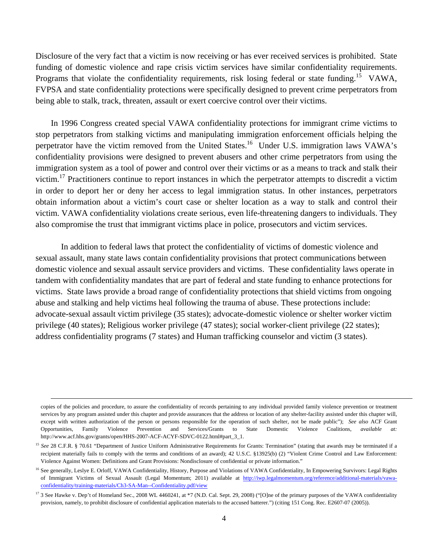Disclosure of the very fact that a victim is now receiving or has ever received services is prohibited. State funding of domestic violence and rape crisis victim services have similar confidentiality requirements. Programs that violate the confidentiality requirements, risk losing federal or state funding.<sup>15</sup> VAWA, FVPSA and state confidentiality protections were specifically designed to prevent crime perpetrators from being able to stalk, track, threaten, assault or exert coercive control over their victims.

In 1996 Congress created special VAWA confidentiality protections for immigrant crime victims to stop perpetrators from stalking victims and manipulating immigration enforcement officials helping the perpetrator have the victim removed from the United States.<sup>16</sup> Under U.S. immigration laws VAWA's confidentiality provisions were designed to prevent abusers and other crime perpetrators from using the immigration system as a tool of power and control over their victims or as a means to track and stalk their victim.17 Practitioners continue to report instances in which the perpetrator attempts to discredit a victim in order to deport her or deny her access to legal immigration status. In other instances, perpetrators obtain information about a victim's court case or shelter location as a way to stalk and control their victim. VAWA confidentiality violations create serious, even life-threatening dangers to individuals. They also compromise the trust that immigrant victims place in police, prosecutors and victim services.

 In addition to federal laws that protect the confidentiality of victims of domestic violence and sexual assault, many state laws contain confidentiality provisions that protect communications between domestic violence and sexual assault service providers and victims. These confidentiality laws operate in tandem with confidentiality mandates that are part of federal and state funding to enhance protections for victims. State laws provide a broad range of confidentiality protections that shield victims from ongoing abuse and stalking and help victims heal following the trauma of abuse. These protections include: advocate-sexual assault victim privilege (35 states); advocate-domestic violence or shelter worker victim privilege (40 states); Religious worker privilege (47 states); social worker-client privilege (22 states); address confidentiality programs (7 states) and Human trafficking counselor and victim (3 states).

 $\overline{a}$ 

copies of the policies and procedure, to assure the confidentiality of records pertaining to any individual provided family violence prevention or treatment services by any program assisted under this chapter and provide assurances that the address or location of any shelter-facility assisted under this chapter will, except with written authorization of the person or persons responsible for the operation of such shelter, not be made public"); *See also* ACF Grant Opportunities, Family Violence Prevention and Services/Grants to State Domestic Violence Coalitions, *available at:* http://www.acf.hhs.gov/grants/open/HHS-2007-ACF-ACYF-SDVC-0122.html#part\_3\_1.

<sup>&</sup>lt;sup>15</sup> See 28 C.F.R. § 70.61 "Department of Justice Uniform Administrative Requirements for Grants: Termination" (stating that awards may be terminated if a recipient materially fails to comply with the terms and conditions of an award); 42 U.S.C. §13925(b) (2) "Violent Crime Control and Law Enforcement: Violence Against Women: Definitions and Grant Provisions: Nondisclosure of confidential or private information."

<sup>&</sup>lt;sup>16</sup> See generally, Leslye E. Orloff, VAWA Confidentiality, History, Purpose and Violations of VAWA Confidentiality, In Empowering Survivors: Legal Rights of Immigrant Victims of Sexual Assault (Legal Momentum; 2011) available at http://iwp.legalmomentum.org/reference/additional-materials/vawaconfidentiality/training-materials/Ch3-SA-Man--Confidentiality.pdf/view

<sup>&</sup>lt;sup>17</sup> 3 See Hawke v. Dep't of Homeland Sec., 2008 WL 4460241, at \*7 (N.D. Cal. Sept. 29, 2008) ("[O]ne of the primary purposes of the VAWA confidentiality provision, namely, to prohibit disclosure of confidential application materials to the accused batterer.") (citing 151 Cong. Rec. E2607-07 (2005)).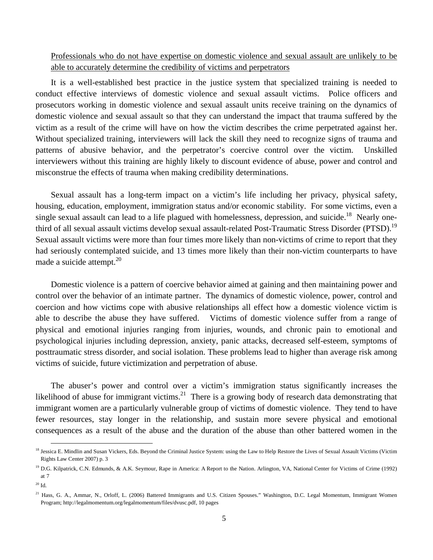Professionals who do not have expertise on domestic violence and sexual assault are unlikely to be able to accurately determine the credibility of victims and perpetrators

It is a well-established best practice in the justice system that specialized training is needed to conduct effective interviews of domestic violence and sexual assault victims. Police officers and prosecutors working in domestic violence and sexual assault units receive training on the dynamics of domestic violence and sexual assault so that they can understand the impact that trauma suffered by the victim as a result of the crime will have on how the victim describes the crime perpetrated against her. Without specialized training, interviewers will lack the skill they need to recognize signs of trauma and patterns of abusive behavior, and the perpetrator's coercive control over the victim. Unskilled interviewers without this training are highly likely to discount evidence of abuse, power and control and misconstrue the effects of trauma when making credibility determinations.

Sexual assault has a long-term impact on a victim's life including her privacy, physical safety, housing, education, employment, immigration status and/or economic stability. For some victims, even a single sexual assault can lead to a life plagued with homelessness, depression, and suicide.<sup>18</sup> Nearly onethird of all sexual assault victims develop sexual assault-related Post-Traumatic Stress Disorder (PTSD).<sup>19</sup> Sexual assault victims were more than four times more likely than non-victims of crime to report that they had seriously contemplated suicide, and 13 times more likely than their non-victim counterparts to have made a suicide attempt.<sup>20</sup>

Domestic violence is a pattern of coercive behavior aimed at gaining and then maintaining power and control over the behavior of an intimate partner. The dynamics of domestic violence, power, control and coercion and how victims cope with abusive relationships all effect how a domestic violence victim is able to describe the abuse they have suffered. Victims of domestic violence suffer from a range of physical and emotional injuries ranging from injuries, wounds, and chronic pain to emotional and psychological injuries including depression, anxiety, panic attacks, decreased self-esteem, symptoms of posttraumatic stress disorder, and social isolation. These problems lead to higher than average risk among victims of suicide, future victimization and perpetration of abuse.

The abuser's power and control over a victim's immigration status significantly increases the likelihood of abuse for immigrant victims.<sup>21</sup> There is a growing body of research data demonstrating that immigrant women are a particularly vulnerable group of victims of domestic violence. They tend to have fewer resources, stay longer in the relationship, and sustain more severe physical and emotional consequences as a result of the abuse and the duration of the abuse than other battered women in the

<sup>&</sup>lt;sup>18</sup> Jessica E. Mindlin and Susan Vickers, Eds. Beyond the Criminal Justice System: using the Law to Help Restore the Lives of Sexual Assault Victims (Victim Rights Law Center 2007) p. 3

<sup>&</sup>lt;sup>19</sup> D.G. Kilpatrick, C.N. Edmunds, & A.K. Seymour, Rape in America: A Report to the Nation. Arlington, VA, National Center for Victims of Crime (1992) at 7

 $20$  Id.

<sup>&</sup>lt;sup>21</sup> Hass, G. A., Ammar, N., Orloff, L. (2006) Battered Immigrants and U.S. Citizen Spouses." Washington, D.C. Legal Momentum, Immigrant Women Program; http://legalmomentum.org/legalmomentum/files/dvusc.pdf, 10 pages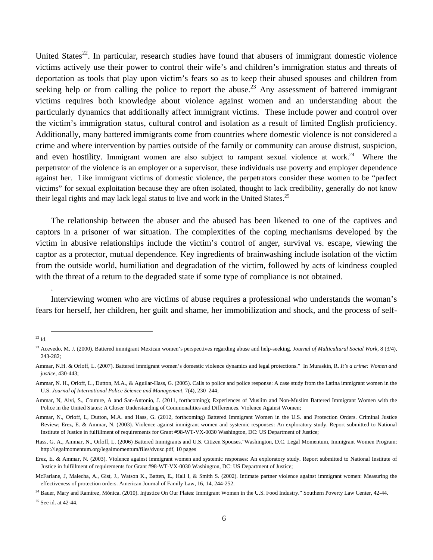United States<sup>22</sup>. In particular, research studies have found that abusers of immigrant domestic violence victims actively use their power to control their wife's and children's immigration status and threats of deportation as tools that play upon victim's fears so as to keep their abused spouses and children from seeking help or from calling the police to report the abuse.<sup>23</sup> Any assessment of battered immigrant victims requires both knowledge about violence against women and an understanding about the particularly dynamics that additionally affect immigrant victims. These include power and control over the victim's immigration status, cultural control and isolation as a result of limited English proficiency. Additionally, many battered immigrants come from countries where domestic violence is not considered a crime and where intervention by parties outside of the family or community can arouse distrust, suspicion, and even hostility. Immigrant women are also subject to rampant sexual violence at work.<sup>24</sup> Where the perpetrator of the violence is an employer or a supervisor, these individuals use poverty and employer dependence against her. Like immigrant victims of domestic violence, the perpetrators consider these women to be "perfect victims" for sexual exploitation because they are often isolated, thought to lack credibility, generally do not know their legal rights and may lack legal status to live and work in the United States.<sup>25</sup>

The relationship between the abuser and the abused has been likened to one of the captives and captors in a prisoner of war situation. The complexities of the coping mechanisms developed by the victim in abusive relationships include the victim's control of anger, survival vs. escape, viewing the captor as a protector, mutual dependence. Key ingredients of brainwashing include isolation of the victim from the outside world, humiliation and degradation of the victim, followed by acts of kindness coupled with the threat of a return to the degraded state if some type of compliance is not obtained.

Interviewing women who are victims of abuse requires a professional who understands the woman's fears for herself, her children, her guilt and shame, her immobilization and shock, and the process of self-

.

<sup>25</sup> See id. at 42-44.

 <sup>22</sup> Id.

<sup>23</sup> Acevedo, M. J. (2000). Battered immigrant Mexican women's perspectives regarding abuse and help-seeking. *Journal of Multicultural Social Work*, 8 (3/4), 243-282;

Ammar, N.H. & Orloff, L. (2007). Battered immigrant women's domestic violence dynamics and legal protections." In Muraskin, R. *It's a crime: Women and justice*, 430-443;

Ammar, N. H., Orloff, L., Dutton, M.A., & Aguilar-Hass, G. (2005). Calls to police and police response: A case study from the Latina immigrant women in the U.S. *Journal of International Police Science and Management*, 7(4), 230–244;

Ammar, N, Alvi, S., Couture, A and San-Antonio, J. (2011, forthcoming); Experiences of Muslim and Non-Muslim Battered Immigrant Women with the Police in the United States: A Closer Understanding of Commonalities and Differences. Violence Against Women;

Ammar, N., Orloff, L, Dutton, M.A. and Hass, G. (2012, forthcoming) Battered Immigrant Women in the U.S. and Protection Orders. Criminal Justice Review; Erez, E. & Ammar, N. (2003). Violence against immigrant women and systemic responses: An exploratory study. Report submitted to National Institute of Justice in fulfillment of requirements for Grant #98-WT-VX-0030 Washington, DC: US Department of Justice;

Hass, G. A., Ammar, N., Orloff, L. (2006) Battered Immigrants and U.S. Citizen Spouses."Washington, D.C. Legal Momentum, Immigrant Women Program; http://legalmomentum.org/legalmomentum/files/dvusc.pdf, 10 pages

Erez, E. & Ammar, N. (2003). Violence against immigrant women and systemic responses: An exploratory study. Report submitted to National Institute of Justice in fulfillment of requirements for Grant #98-WT-VX-0030 Washington, DC: US Department of Justice;

McFarlane, J, Malecha, A., Gist, J., Watson K., Batten, E., Hall I, & Smith S. (2002). Intimate partner violence against immigrant women: Measuring the effectiveness of protection orders. American Journal of Family Law, 16, 14, 244-252.

 $^{24}$  Bauer, Mary and Ramírez, Mónica. (2010). Injustice On Our Plates: Immigrant Women in the U.S. Food Industry." Southern Poverty Law Center, 42-44.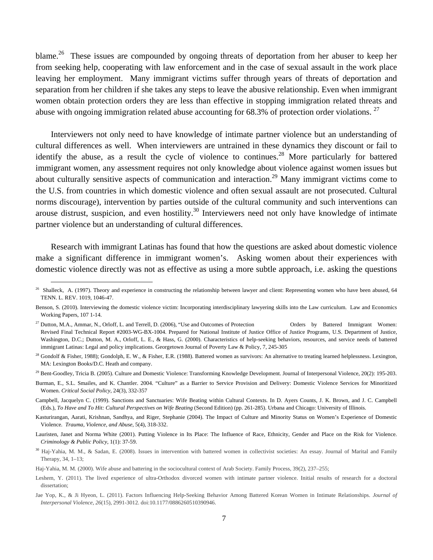blame.<sup>26</sup> These issues are compounded by ongoing threats of deportation from her abuser to keep her from seeking help, cooperating with law enforcement and in the case of sexual assault in the work place leaving her employment. Many immigrant victims suffer through years of threats of deportation and separation from her children if she takes any steps to leave the abusive relationship. Even when immigrant women obtain protection orders they are less than effective in stopping immigration related threats and abuse with ongoing immigration related abuse accounting for  $68.3\%$  of protection order violations.  $^{27}$ 

Interviewers not only need to have knowledge of intimate partner violence but an understanding of cultural differences as well. When interviewers are untrained in these dynamics they discount or fail to identify the abuse, as a result the cycle of violence to continues.<sup>28</sup> More particularly for battered immigrant women, any assessment requires not only knowledge about violence against women issues but about culturally sensitive aspects of communication and interaction.<sup>29</sup> Many immigrant victims come to the U.S. from countries in which domestic violence and often sexual assault are not prosecuted. Cultural norms discourage), intervention by parties outside of the cultural community and such interventions can arouse distrust, suspicion, and even hostility.<sup>30</sup> Interviewers need not only have knowledge of intimate partner violence but an understanding of cultural differences.

Research with immigrant Latinas has found that how the questions are asked about domestic violence make a significant difference in immigrant women's. Asking women about their experiences with domestic violence directly was not as effective as using a more subtle approach, i.e. asking the questions

<sup>&</sup>lt;sup>26</sup> Shalleck, A. (1997). Theory and experience in constructing the relationship between lawyer and client: Representing women who have been abused, 64 TENN. L. REV. 1019, 1046-47.

Benson, S. (2010). Interviewing the domestic violence victim: Incorporating interdisciplinary lawyering skills into the Law curriculum. Law and Economics Working Papers, 107 1-14.

 $^{27}$  Dutton, M.A., Ammar, N., Orloff, L. and Terrell, D. (2006), "Use and Outcomes of Protection Orders by Battered Immigrant Women: Revised Final Technical Report #2003-WG-BX-1004. Prepared for National Institute of Justice Office of Justice Programs, U.S. Department of Justice, Washington, D.C.; Dutton, M. A., Orloff, L. E., & Hass, G. (2000). Characteristics of help-seeking behaviors, resources, and service needs of battered immigrant Latinas: Legal and policy implications. Georgetown Journal of Poverty Law & Policy, 7, 245-305

<sup>&</sup>lt;sup>28</sup> Gondolf & Fisher, 1988); Gondolph, E. W., & Fisher, E.R. (1988). Battered women as survivors: An alternative to treating learned helplessness. Lexington, MA: Lexington Books/D.C. Heath and company.

<sup>&</sup>lt;sup>29</sup> Bent-Goodley, Tricia B. (2005). Culture and Domestic Violence: Transforming Knowledge Development. Journal of Interpersonal Violence, 20(2): 195-203.

Burman, E., S.L. Smailes, and K. Chantler. 2004. "Culture" as a Barrier to Service Provision and Delivery: Domestic Violence Services for Minoritized Women. *Critical Social Policy*, 24(3), 332-357

Campbell, Jacquelyn C. (1999). Sanctions and Sanctuaries: Wife Beating within Cultural Contexts. In D. Ayers Counts, J. K. Brown, and J. C. Campbell (Eds.), *To Have and To Hit: Cultural Perspectives on Wife Beating* (Second Edition) (pp. 261-285). Urbana and Chicago: University of Illinois.

Kasturirangan, Aarati, Krishnan, Sandhya, and Riger, Stephanie (2004). The Impact of Culture and Minority Status on Women's Experience of Domestic Violence. *Trauma, Violence, and Abuse*, 5(4), 318-332.

Lauristen, Janet and Norma White (2001). Putting Violence in Its Place: The Influence of Race, Ethnicity, Gender and Place on the Risk for Violence. *Criminology & Public Policy*, 1(1): 37-59.

<sup>&</sup>lt;sup>30</sup> Haj-Yahia, M. M., & Sadan, E. (2008). Issues in intervention with battered women in collectivist societies: An essay. Journal of Marital and Family Therapy, 34, 1–13;

Haj-Yahia, M. M. (2000). Wife abuse and battering in the sociocultural context of Arab Society. Family Process, 39(2), 237–255;

Leshem, Y. (2011). The lived experience of ultra-Orthodox divorced women with intimate partner violence. Initial results of research for a doctoral dissertation;

Jae Yop, K., & Ji Hyeon, L. (2011). Factors Influencing Help-Seeking Behavior Among Battered Korean Women in Intimate Relationships. *Journal of Interpersonal Violence*, *26*(15), 2991-3012. doi:10.1177/0886260510390946.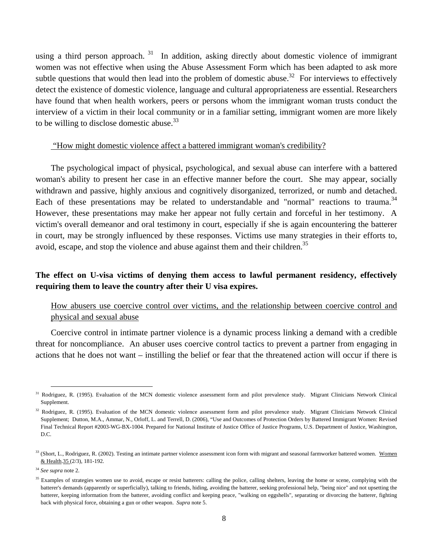using a third person approach.  $31$  In addition, asking directly about domestic violence of immigrant women was not effective when using the Abuse Assessment Form which has been adapted to ask more subtle questions that would then lead into the problem of domestic abuse.<sup>32</sup> For interviews to effectively detect the existence of domestic violence, language and cultural appropriateness are essential. Researchers have found that when health workers, peers or persons whom the immigrant woman trusts conduct the interview of a victim in their local community or in a familiar setting, immigrant women are more likely to be willing to disclose domestic abuse.<sup>33</sup>

#### "How might domestic violence affect a battered immigrant woman's credibility?

The psychological impact of physical, psychological, and sexual abuse can interfere with a battered woman's ability to present her case in an effective manner before the court. She may appear, socially withdrawn and passive, highly anxious and cognitively disorganized, terrorized, or numb and detached. Each of these presentations may be related to understandable and "normal" reactions to trauma.<sup>34</sup> However, these presentations may make her appear not fully certain and forceful in her testimony. A victim's overall demeanor and oral testimony in court, especially if she is again encountering the batterer in court, may be strongly influenced by these responses. Victims use many strategies in their efforts to, avoid, escape, and stop the violence and abuse against them and their children.<sup>35</sup>

# **The effect on U-visa victims of denying them access to lawful permanent residency, effectively requiring them to leave the country after their U visa expires.**

# How abusers use coercive control over victims, and the relationship between coercive control and physical and sexual abuse

Coercive control in intimate partner violence is a dynamic process linking a demand with a credible threat for noncompliance. An abuser uses coercive control tactics to prevent a partner from engaging in actions that he does not want – instilling the belief or fear that the threatened action will occur if there is

<sup>&</sup>lt;sup>31</sup> Rodriguez, R. (1995). Evaluation of the MCN domestic violence assessment form and pilot prevalence study. Migrant Clinicians Network Clinical Supplement.

<sup>&</sup>lt;sup>32</sup> Rodriguez, R. (1995). Evaluation of the MCN domestic violence assessment form and pilot prevalence study. Migrant Clinicians Network Clinical Supplement; Dutton, M.A., Ammar, N., Orloff, L. and Terrell, D. (2006), "Use and Outcomes of Protection Orders by Battered Immigrant Women: Revised Final Technical Report #2003-WG-BX-1004. Prepared for National Institute of Justice Office of Justice Programs, U.S. Department of Justice, Washington, D.C.

 $33$  (Short, L., Rodriguez, R. (2002). Testing an intimate partner violence assessment icon form with migrant and seasonal farmworker battered women. Women & Health.35 (2/3), 181-192.

<sup>34</sup> *See supra* note 2.

<sup>&</sup>lt;sup>35</sup> Examples of strategies women use to avoid, escape or resist batterers: calling the police, calling shelters, leaving the home or scene, complying with the batterer's demands (apparently or superficially), talking to friends, hiding, avoiding the batterer, seeking professional help, "being nice" and not upsetting the batterer, keeping information from the batterer, avoiding conflict and keeping peace, "walking on eggshells", separating or divorcing the batterer, fighting back with physical force, obtaining a gun or other weapon. *Supra* note 5.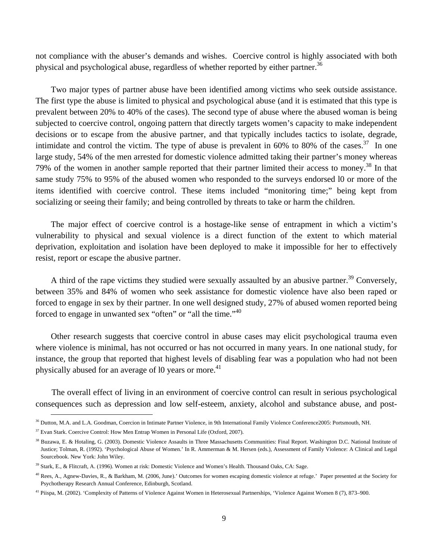not compliance with the abuser's demands and wishes. Coercive control is highly associated with both physical and psychological abuse, regardless of whether reported by either partner.<sup>36</sup>

Two major types of partner abuse have been identified among victims who seek outside assistance. The first type the abuse is limited to physical and psychological abuse (and it is estimated that this type is prevalent between 20% to 40% of the cases). The second type of abuse where the abused woman is being subjected to coercive control, ongoing pattern that directly targets women's capacity to make independent decisions or to escape from the abusive partner, and that typically includes tactics to isolate, degrade, intimidate and control the victim. The type of abuse is prevalent in  $60\%$  to 80% of the cases.<sup>37</sup> In one large study, 54% of the men arrested for domestic violence admitted taking their partner's money whereas 79% of the women in another sample reported that their partner limited their access to money.<sup>38</sup> In that same study 75% to 95% of the abused women who responded to the surveys endorsed 10 or more of the items identified with coercive control. These items included "monitoring time;" being kept from socializing or seeing their family; and being controlled by threats to take or harm the children.

The major effect of coercive control is a hostage-like sense of entrapment in which a victim's vulnerability to physical and sexual violence is a direct function of the extent to which material deprivation, exploitation and isolation have been deployed to make it impossible for her to effectively resist, report or escape the abusive partner.

A third of the rape victims they studied were sexually assaulted by an abusive partner.<sup>39</sup> Conversely, between 35% and 84% of women who seek assistance for domestic violence have also been raped or forced to engage in sex by their partner. In one well designed study, 27% of abused women reported being forced to engage in unwanted sex "often" or "all the time."<sup>40</sup>

Other research suggests that coercive control in abuse cases may elicit psychological trauma even where violence is minimal, has not occurred or has not occurred in many years. In one national study, for instance, the group that reported that highest levels of disabling fear was a population who had not been physically abused for an average of 10 years or more.<sup>41</sup>

The overall effect of living in an environment of coercive control can result in serious psychological consequences such as depression and low self-esteem, anxiety, alcohol and substance abuse, and post-

<sup>&</sup>lt;sup>36</sup> Dutton, M.A. and L.A. Goodman, Coercion in Intimate Partner Violence, in 9th International Family Violence Conference2005: Portsmouth, NH.

<sup>&</sup>lt;sup>37</sup> Evan Stark. Coercive Control: How Men Entrap Women in Personal Life (Oxford, 2007).

<sup>&</sup>lt;sup>38</sup> Buzawa, E. & Hotaling, G. (2003). Domestic Violence Assaults in Three Massachusetts Communities: Final Report. Washington D.C. National Institute of Justice; Tolman, R. (1992). 'Psychological Abuse of Women.' In R. Ammerman & M. Hersen (eds.), Assessment of Family Violence: A Clinical and Legal Sourcebook. New York: John Wiley.

<sup>&</sup>lt;sup>39</sup> Stark, E., & Flitcraft, A. (1996). Women at risk: Domestic Violence and Women's Health. Thousand Oaks, CA: Sage.

<sup>&</sup>lt;sup>40</sup> Rees, A., Agnew-Davies, R., & Barkham, M. (2006, June).' Outcomes for women escaping domestic violence at refuge.' Paper presented at the Society for Psychotherapy Research Annual Conference, Edinburgh, Scotland.

<sup>41</sup> Piispa, M. (2002). 'Complexity of Patterns of Violence Against Women in Heterosexual Partnerships, 'Violence Against Women 8 (7), 873–900.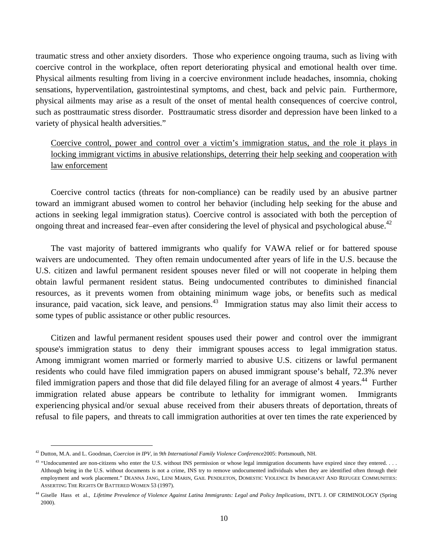traumatic stress and other anxiety disorders. Those who experience ongoing trauma, such as living with coercive control in the workplace, often report deteriorating physical and emotional health over time. Physical ailments resulting from living in a coercive environment include headaches, insomnia, choking sensations, hyperventilation, gastrointestinal symptoms, and chest, back and pelvic pain. Furthermore, physical ailments may arise as a result of the onset of mental health consequences of coercive control, such as posttraumatic stress disorder. Posttraumatic stress disorder and depression have been linked to a variety of physical health adversities."

Coercive control, power and control over a victim's immigration status, and the role it plays in locking immigrant victims in abusive relationships, deterring their help seeking and cooperation with law enforcement

Coercive control tactics (threats for non-compliance) can be readily used by an abusive partner toward an immigrant abused women to control her behavior (including help seeking for the abuse and actions in seeking legal immigration status). Coercive control is associated with both the perception of ongoing threat and increased fear–even after considering the level of physical and psychological abuse.<sup>42</sup>

The vast majority of battered immigrants who qualify for VAWA relief or for battered spouse waivers are undocumented. They often remain undocumented after years of life in the U.S. because the U.S. citizen and lawful permanent resident spouses never filed or will not cooperate in helping them obtain lawful permanent resident status. Being undocumented contributes to diminished financial resources, as it prevents women from obtaining minimum wage jobs, or benefits such as medical insurance, paid vacation, sick leave, and pensions.<sup>43</sup> Immigration status may also limit their access to some types of public assistance or other public resources.

Citizen and lawful permanent resident spouses used their power and control over the immigrant spouse's immigration status to deny their immigrant spouses access to legal immigration status. Among immigrant women married or formerly married to abusive U.S. citizens or lawful permanent residents who could have filed immigration papers on abused immigrant spouse's behalf, 72.3% never filed immigration papers and those that did file delayed filing for an average of almost 4 years.<sup>44</sup> Further immigration related abuse appears be contribute to lethality for immigrant women. Immigrants experiencing physical and/or sexual abuse received from their abusers threats of deportation, threats of refusal to file papers, and threats to call immigration authorities at over ten times the rate experienced by

 <sup>42</sup> Dutton, M.A. and L. Goodman, *Coercion in IPV*, in *9th International Family Violence Conference*2005: Portsmouth, NH.

 $43$  "Undocumented are non-citizens who enter the U.S. without INS permission or whose legal immigration documents have expired since they entered. . . . Although being in the U.S. without documents is not a crime, INS try to remove undocumented individuals when they are identified often through their employment and work placement." DEANNA JANG, LENI MARIN, GAIL PENDLETON, DOMESTIC VIOLENCE IN IMMIGRANT AND REFUGEE COMMUNITIES: ASSERTING THE RIGHTS OF BATTERED WOMEN 53 (1997).

<sup>&</sup>lt;sup>44</sup> Giselle Hass et al., *Lifetime Prevalence of Violence Against Latina Immigrants: Legal and Policy Implications, INT'L J. OF CRIMINOLOGY (Spring* 2000).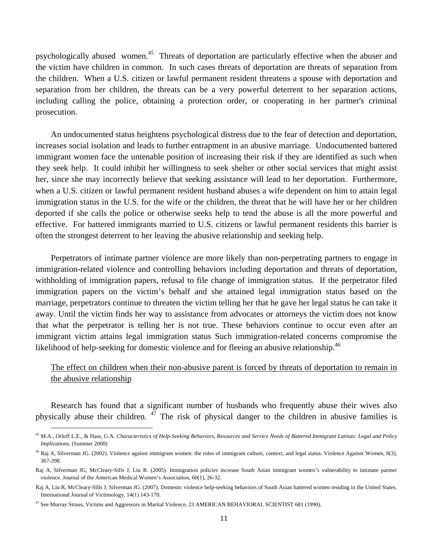psychologically abused women.45 Threats of deportation are particularly effective when the abuser and the victim have children in common. In such cases threats of deportation are threats of separation from the children. When a U.S. citizen or lawful permanent resident threatens a spouse with deportation and separation from her children, the threats can be a very powerful deterrent to her separation actions, including calling the police, obtaining a protection order, or cooperating in her partner's criminal prosecution.

An undocumented status heightens psychological distress due to the fear of detection and deportation, increases social isolation and leads to further entrapment in an abusive marriage. Undocumented battered immigrant women face the untenable position of increasing their risk if they are identified as such when they seek help. It could inhibit her willingness to seek shelter or other social services that might assist her, since she may incorrectly believe that seeking assistance will lead to her deportation. Furthermore, when a U.S. citizen or lawful permanent resident husband abuses a wife dependent on him to attain legal immigration status in the U.S. for the wife or the children, the threat that he will have her or her children deported if she calls the police or otherwise seeks help to tend the abuse is all the more powerful and effective. For battered immigrants married to U.S. citizens or lawful permanent residents this barrier is often the strongest deterrent to her leaving the abusive relationship and seeking help.

Perpetrators of intimate partner violence are more likely than non-perpetrating partners to engage in immigration-related violence and controlling behaviors including deportation and threats of deportation, withholding of immigration papers, refusal to file change of immigration status. If the perpetrator filed immigration papers on the victim's behalf and she attained legal immigration status based on the marriage, perpetrators continue to threaten the victim telling her that he gave her legal status he can take it away. Until the victim finds her way to assistance from advocates or attorneys the victim does not know that what the perpetrator is telling her is not true. These behaviors continue to occur even after an immigrant victim attains legal immigration status Such immigration-related concerns compromise the likelihood of help-seeking for domestic violence and for fleeing an abusive relationship.<sup>46</sup>

# The effect on children when their non-abusive parent is forced by threats of deportation to remain in the abusive relationship

Research has found that a significant number of husbands who frequently abuse their wives also physically abuse their children.  $4\overline{7}$  The risk of physical danger to the children in abusive families is

 <sup>45</sup> M.A., Orloff L.E., & Hass, G.A. *Characteristics of Help-Seeking Behaviors, Resources and Service Needs of Battered Immigrant Latinas: Legal and Policy Implications.* (Summer 2000)

<sup>&</sup>lt;sup>46</sup> Raj A, Silverman JG. (2002). Violence against immigrant women: the roles of immigrant culture, context, and legal status. Violence Against Women, 8(3), 367-398.

Raj A, Silverman JG, McCleary-Sills J, Liu R. (2005). Immigration policies increase South Asian immigrant women's vulnerability to intimate partner violence. Journal of the American Medical Women's Association, 60(1), 26-32.

Raj A, Liu R, McCleary-Sills J, Silverman JG. (2007). Domestic violence help-seeking behaviors of South Asian battered women residing in the United States. International Journal of Victimology, 14(1) 143-170.

 $47$  See Murray Straus, Victims and Aggressors in Marital Violence, 23 AMERICAN BEHAVIORAL SCIENTIST 681 (1990).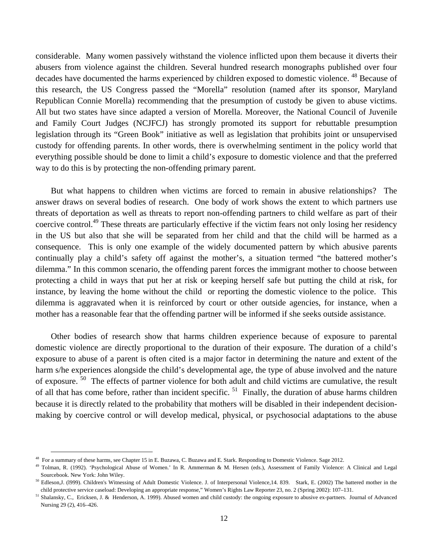considerable. Many women passively withstand the violence inflicted upon them because it diverts their abusers from violence against the children. Several hundred research monographs published over four decades have documented the harms experienced by children exposed to domestic violence.<sup>48</sup> Because of this research, the US Congress passed the "Morella" resolution (named after its sponsor, Maryland Republican Connie Morella) recommending that the presumption of custody be given to abuse victims. All but two states have since adapted a version of Morella. Moreover, the National Council of Juvenile and Family Court Judges (NCJFCJ) has strongly promoted its support for rebuttable presumption legislation through its "Green Book" initiative as well as legislation that prohibits joint or unsupervised custody for offending parents. In other words, there is overwhelming sentiment in the policy world that everything possible should be done to limit a child's exposure to domestic violence and that the preferred way to do this is by protecting the non-offending primary parent.

But what happens to children when victims are forced to remain in abusive relationships? The answer draws on several bodies of research. One body of work shows the extent to which partners use threats of deportation as well as threats to report non-offending partners to child welfare as part of their coercive control.49 These threats are particularly effective if the victim fears not only losing her residency in the US but also that she will be separated from her child and that the child will be harmed as a consequence. This is only one example of the widely documented pattern by which abusive parents continually play a child's safety off against the mother's, a situation termed "the battered mother's dilemma." In this common scenario, the offending parent forces the immigrant mother to choose between protecting a child in ways that put her at risk or keeping herself safe but putting the child at risk, for instance, by leaving the home without the child or reporting the domestic violence to the police. This dilemma is aggravated when it is reinforced by court or other outside agencies, for instance, when a mother has a reasonable fear that the offending partner will be informed if she seeks outside assistance.

Other bodies of research show that harms children experience because of exposure to parental domestic violence are directly proportional to the duration of their exposure. The duration of a child's exposure to abuse of a parent is often cited is a major factor in determining the nature and extent of the harm s/he experiences alongside the child's developmental age, the type of abuse involved and the nature of exposure. 50 The effects of partner violence for both adult and child victims are cumulative, the result of all that has come before, rather than incident specific.<sup>51</sup> Finally, the duration of abuse harms children because it is directly related to the probability that mothers will be disabled in their independent decisionmaking by coercive control or will develop medical, physical, or psychosocial adaptations to the abuse

<sup>&</sup>lt;sup>48</sup> For a summary of these harms, see Chapter 15 in E. Buzawa, C. Buzawa and E. Stark. Responding to Domestic Violence. Sage 2012.<br><sup>49</sup> Tolman, R. (1992). 'Psychological Abuse of Women.' In R. Ammerman & M. Hersen (eds.), Sourcebook. New York: John Wiley.<br><sup>50</sup> Edleson,J. (1999). Children's Witnessing of Adult Domestic Violence. J. of Interpersonal Violence,14. 839. Stark, E. (2002) The battered mother in the

child protective service caseload: Developing an appropriate response," Women's Rights Law Reporter 23, no. 2 (Spring 2002): 107–131.<br><sup>51</sup> Shalansky, C., Ericksen, J. & Henderson, A. 1999). Abused women and child custody:

Nursing 29 (2), 416–426.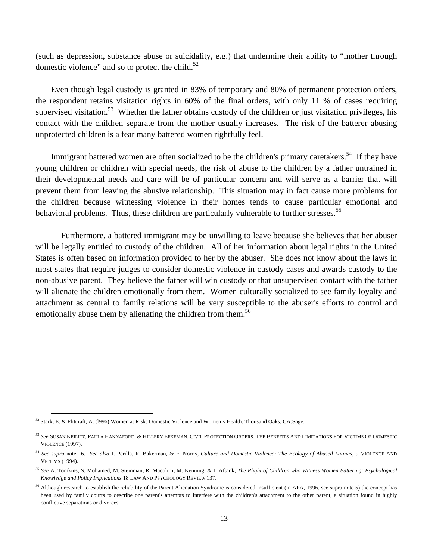(such as depression, substance abuse or suicidality, e.g.) that undermine their ability to "mother through domestic violence" and so to protect the child. $52$ 

Even though legal custody is granted in 83% of temporary and 80% of permanent protection orders, the respondent retains visitation rights in 60% of the final orders, with only 11 % of cases requiring supervised visitation.<sup>53</sup> Whether the father obtains custody of the children or just visitation privileges, his contact with the children separate from the mother usually increases. The risk of the batterer abusing unprotected children is a fear many battered women rightfully feel.

Immigrant battered women are often socialized to be the children's primary caretakers.<sup>54</sup> If they have young children or children with special needs, the risk of abuse to the children by a father untrained in their developmental needs and care will be of particular concern and will serve as a barrier that will prevent them from leaving the abusive relationship. This situation may in fact cause more problems for the children because witnessing violence in their homes tends to cause particular emotional and behavioral problems. Thus, these children are particularly vulnerable to further stresses.<sup>55</sup>

 Furthermore, a battered immigrant may be unwilling to leave because she believes that her abuser will be legally entitled to custody of the children. All of her information about legal rights in the United States is often based on information provided to her by the abuser. She does not know about the laws in most states that require judges to consider domestic violence in custody cases and awards custody to the non-abusive parent. They believe the father will win custody or that unsupervised contact with the father will alienate the children emotionally from them. Women culturally socialized to see family loyalty and attachment as central to family relations will be very susceptible to the abuser's efforts to control and emotionally abuse them by alienating the children from them.<sup>56</sup>

 <sup>52</sup> Stark, E. & Flitcraft, A. (l996) Women at Risk: Domestic Violence and Women's Health. Thousand Oaks, CA:Sage.

<sup>53</sup> *See* SUSAN KEILITZ, PAULA HANNAFORD, & HILLERY EFKEMAN, CIVIL PROTECTION ORDERS: THE BENEFITS AND LIMITATIONS FOR VICTIMS OF DOMESTIC VIOLENCE (1997).

<sup>54</sup> *See supra* note 16. *See also* J. Perilla, R. Bakerman, & F. Norris, *Culture and Domestic Violence: The Ecology of Abused Latinas*, 9 VIOLENCE AND VICTIMS (1994).

<sup>55</sup> *See* A. Tomkins, S. Mohamed, M. Steinman, R. Macolirii, M. Kenning, & J. Aftank, *The Plight of Children who Witness Women Battering: Psychological Knowledge and Policy Implications* 18 LAW AND PSYCHOLOGY REVIEW 137.

<sup>&</sup>lt;sup>56</sup> Although research to establish the reliability of the Parent Alienation Syndrome is considered insufficient (in APA, 1996, see supra note 5) the concept has been used by family courts to describe one parent's attempts to interfere with the children's attachment to the other parent, a situation found in highly conflictive separations or divorces.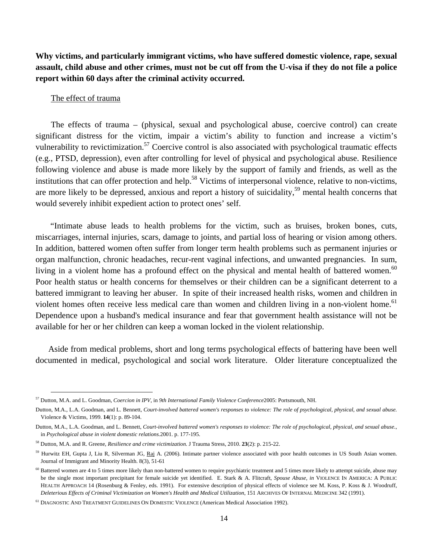**Why victims, and particularly immigrant victims, who have suffered domestic violence, rape, sexual assault, child abuse and other crimes, must not be cut off from the U-visa if they do not file a police report within 60 days after the criminal activity occurred.** 

## The effect of trauma

The effects of trauma – (physical, sexual and psychological abuse, coercive control) can create significant distress for the victim, impair a victim's ability to function and increase a victim's vulnerability to revictimization.<sup>57</sup> Coercive control is also associated with psychological traumatic effects (e.g., PTSD, depression), even after controlling for level of physical and psychological abuse. Resilience following violence and abuse is made more likely by the support of family and friends, as well as the institutions that can offer protection and help.<sup>58</sup> Victims of interpersonal violence, relative to non-victims, are more likely to be depressed, anxious and report a history of suicidality,<sup>59</sup> mental health concerns that would severely inhibit expedient action to protect ones' self.

 "Intimate abuse leads to health problems for the victim, such as bruises, broken bones, cuts, miscarriages, internal injuries, scars, damage to joints, and partial loss of hearing or vision among others. In addition, battered women often suffer from longer term health problems such as permanent injuries or organ malfunction, chronic headaches, recur-rent vaginal infections, and unwanted pregnancies. In sum, living in a violent home has a profound effect on the physical and mental health of battered women.<sup>60</sup> Poor health status or health concerns for themselves or their children can be a significant deterrent to a battered immigrant to leaving her abuser. In spite of their increased health risks, women and children in violent homes often receive less medical care than women and children living in a non-violent home.<sup>61</sup> Dependence upon a husband's medical insurance and fear that government health assistance will not be available for her or her children can keep a woman locked in the violent relationship.

Aside from medical problems, short and long terms psychological effects of battering have been well documented in medical, psychological and social work literature. Older literature conceptualized the

 <sup>57</sup> Dutton, M.A. and L. Goodman, *Coercion in IPV*, in *9th International Family Violence Conference*2005: Portsmouth, NH.

Dutton, M.A., L.A. Goodman, and L. Bennett, *Court-involved battered women's responses to violence: The role of psychological, physical, and sexual abuse.* Violence & Victims, 1999. **14**(1): p. 89-104.

Dutton, M.A., L.A. Goodman, and L. Bennett, *Court-involved battered women's responses to violence: The role of psychological, physical, and sexual abuse.*, in *Psychological abuse in violent domestic relations.*2001. p. 177-195.

<sup>58</sup> Dutton, M.A. and R. Greene, *Resilience and crime victimization.* J Trauma Stress, 2010. **23**(2): p. 215-22.

<sup>&</sup>lt;sup>59</sup> Hurwitz EH, Gupta J, Liu R, Silverman JG, Raj A. (2006). Intimate partner violence associated with poor health outcomes in US South Asian women. Journal of Immigrant and Minority Health. 8(3), 51-61

<sup>&</sup>lt;sup>60</sup> Battered women are 4 to 5 times more likely than non-battered women to require psychiatric treatment and 5 times more likely to attempt suicide, abuse may be the single most important precipitant for female suicide yet identified. E. Stark & A. Flitcraft, *Spouse Abuse, in* VIOLENCE IN AMERICA: A PUBLIC HEALTH APPROACH 14 (Rosenburg & Fenley, eds. 1991). For extensive description of physical effects of violence see M. Koss, P. Koss & J. Woodruff, *Deleterious Effects of Criminal Victimization on Women's Health and Medical Utilization*, 151 ARCHIVES OF INTERNAL MEDICINE 342 (1991).

<sup>61</sup> DIAGNOSTIC AND TREATMENT GUIDELINES ON DOMESTIC VIOLENCE (American Medical Association 1992).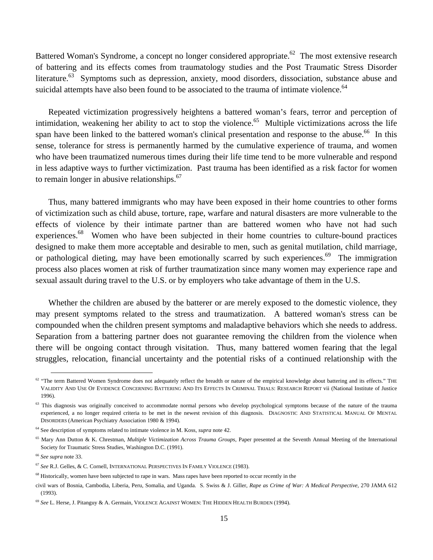Battered Woman's Syndrome, a concept no longer considered appropriate.<sup>62</sup> The most extensive research of battering and its effects comes from traumatology studies and the Post Traumatic Stress Disorder literature.<sup>63</sup> Symptoms such as depression, anxiety, mood disorders, dissociation, substance abuse and suicidal attempts have also been found to be associated to the trauma of intimate violence.<sup>64</sup>

Repeated victimization progressively heightens a battered woman's fears, terror and perception of intimidation, weakening her ability to act to stop the violence.<sup>65</sup> Multiple victimizations across the life span have been linked to the battered woman's clinical presentation and response to the abuse.<sup>66</sup> In this sense, tolerance for stress is permanently harmed by the cumulative experience of trauma, and women who have been traumatized numerous times during their life time tend to be more vulnerable and respond in less adaptive ways to further victimization. Past trauma has been identified as a risk factor for women to remain longer in abusive relationships. $67$ 

Thus, many battered immigrants who may have been exposed in their home countries to other forms of victimization such as child abuse, torture, rape, warfare and natural disasters are more vulnerable to the effects of violence by their intimate partner than are battered women who have not had such experiences.<sup>68</sup> Women who have been subjected in their home countries to culture-bound practices designed to make them more acceptable and desirable to men, such as genital mutilation, child marriage, or pathological dieting, may have been emotionally scarred by such experiences.<sup>69</sup> The immigration process also places women at risk of further traumatization since many women may experience rape and sexual assault during travel to the U.S. or by employers who take advantage of them in the U.S.

Whether the children are abused by the batterer or are merely exposed to the domestic violence, they may present symptoms related to the stress and traumatization. A battered woman's stress can be compounded when the children present symptoms and maladaptive behaviors which she needs to address. Separation from a battering partner does not guarantee removing the children from the violence when there will be ongoing contact through visitation. Thus, many battered women fearing that the legal struggles, relocation, financial uncertainty and the potential risks of a continued relationship with the

 $62$  "The term Battered Women Syndrome does not adequately reflect the breadth or nature of the empirical knowledge about battering and its effects." THE VALIDITY AND USE OF EVIDENCE CONCERNING BATTERING AND ITS EFFECTS IN CRIMINAL TRIALS: RESEARCH REPORT vii (National Institute of Justice 1996).

<sup>&</sup>lt;sup>63</sup> This diagnosis was originally conceived to accommodate normal persons who develop psychological symptoms because of the nature of the trauma experienced, a no longer required criteria to be met in the newest revision of this diagnosis. DIAGNOSTIC AND STATISTICAL MANUAL OF MENTAL DISORDERS (American Psychiatry Association 1980 & 1994).

<sup>64</sup> See description of symptoms related to intimate violence in M. Koss, *supra* note 42.

<sup>&</sup>lt;sup>65</sup> Mary Ann Dutton & K. Chrestman, *Multiple Victimization Across Trauma Groups*, Paper presented at the Seventh Annual Meeting of the International Society for Traumatic Stress Studies, Washington D.C. (1991).

<sup>66</sup> *See supra* note 33.

<sup>67</sup> *See* R.J. Gelles, & C. Cornell, INTERNATIONAL PERSPECTIVES IN FAMILY VIOLENCE (1983).

<sup>&</sup>lt;sup>68</sup> Historically, women have been subjected to rape in wars. Mass rapes have been reported to occur recently in the

civil wars of Bosnia, Cambodia, Liberia, Peru, Somalia, and Uganda. S. Swiss & J. Giller, *Rape as Crime of War: A Medical Perspective,* 270 JAMA 612 (1993).

<sup>69</sup> *See* L. Herse, J. Pitanguy & A. Germain, VIOLENCE AGAINST WOMEN: THE HIDDEN HEALTH BURDEN (1994).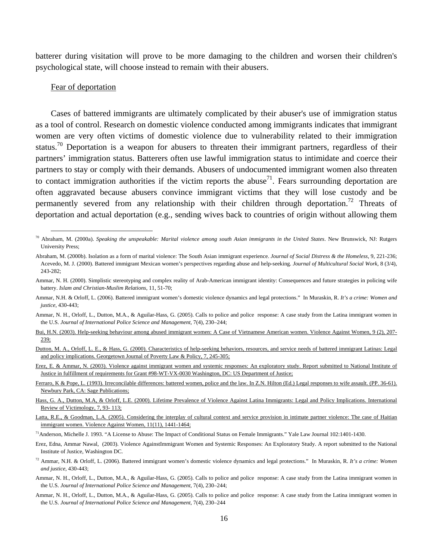batterer during visitation will prove to be more damaging to the children and worsen their children's psychological state, will choose instead to remain with their abusers.

## Fear of deportation

Cases of battered immigrants are ultimately complicated by their abuser's use of immigration status as a tool of control. Research on domestic violence conducted among immigrants indicates that immigrant women are very often victims of domestic violence due to vulnerability related to their immigration status.<sup>70</sup> Deportation is a weapon for abusers to threaten their immigrant partners, regardless of their partners' immigration status. Batterers often use lawful immigration status to intimidate and coerce their partners to stay or comply with their demands. Abusers of undocumented immigrant women also threaten to contact immigration authorities if the victim reports the abuse<sup>71</sup>. Fears surrounding deportation are often aggravated because abusers convince immigrant victims that they will lose custody and be permanently severed from any relationship with their children through deportation.<sup>72</sup> Threats of deportation and actual deportation (e.g., sending wives back to countries of origin without allowing them

Erez, E. & Ammar, N. (2003). Violence against immigrant women and systemic responses: An exploratory study. Report submitted to National Institute of Justice in fulfillment of requirements for Grant #98-WT-VX-0030 Washington, DC: US Department of Justice;

Ferraro, K & Pope, L. (1993). Irreconcilable differences: battered women, police and the law. In Z.N. Hilton (Ed.) Legal responses to wife assault. (PP. 36-61). Newbury Park, CA: Sage Publications;

Erez, Edna, Ammar Nawal, (2003). Violence AgainstImmigrant Women and Systemic Responses: An Exploratory Study. A report submitted to the National Institute of Justice, Washington DC.

 <sup>70</sup> Abraham, M. (2000a). *Speaking the unspeakable: Marital violence among south Asian immigrants in the United States*. New Brunswick, NJ: Rutgers University Press;

Abraham, M. (2000b). Isolation as a form of marital violence: The South Asian immigrant experience. *Journal of Social Distress & the Homeless*, 9, 221-236; Acevedo, M. J. (2000). Battered immigrant Mexican women's perspectives regarding abuse and help-seeking. *Journal of Multicultural Social Work*, 8 (3/4), 243-282;

Ammar, N. H. (2000). Simplistic stereotyping and complex reality of Arab-American immigrant identity: Consequences and future strategies in policing wife battery. *Islam and Christian-Muslim Relations*, 11, 51-70;

Ammar, N.H. & Orloff, L. (2006). Battered immigrant women's domestic violence dynamics and legal protections." In Muraskin, R. *It's a crime: Women and justice*, 430-443;

Ammar, N. H., Orloff, L., Dutton, M.A., & Aguilar-Hass, G. (2005). Calls to police and police response: A case study from the Latina immigrant women in the U.S. *Journal of International Police Science and Management*, 7(4), 230–244;

Bui, H.N. (2003). Help-seeking behaviour among abused immigrant women: A Case of Vietnamese American women. Violence Against Women, 9 (2), 207- 239;

Dutton, M. A., Orloff, L. E., & Hass, G. (2000). Characteristics of help-seeking behaviors, resources, and service needs of battered immigrant Latinas: Legal and policy implications. Georgetown Journal of Poverty Law & Policy, 7, 245-305;

Hass, G. A., Dutton, M.A, & Orloff, L.E. (2000). Lifetime Prevalence of Violence Against Latina Immigrants: Legal and Policy Implications. International Review of Victimology, 7, 93- 113;

Latta, R.E., & Goodman, L.A. (2005). Considering the interplay of cultural context and service provision in intimate partner violence: The case of Haitian immigrant women. Violence Against Women, 11(11), 1441-1464;

<sup>71</sup>Anderson, Michelle J. 1993. "A License to Abuse: The Impact of Conditional Status on Female Immigrants." Yale Law Journal 102:1401-1430.

<sup>72</sup> Ammar, N.H. & Orloff, L. (2006). Battered immigrant women's domestic violence dynamics and legal protections." In Muraskin, R. *It's a crime: Women and justice*, 430-443;

Ammar, N. H., Orloff, L., Dutton, M.A., & Aguilar-Hass, G. (2005). Calls to police and police response: A case study from the Latina immigrant women in the U.S. *Journal of International Police Science and Management*, 7(4), 230–244;

Ammar, N. H., Orloff, L., Dutton, M.A., & Aguilar-Hass, G. (2005). Calls to police and police response: A case study from the Latina immigrant women in the U.S. *Journal of International Police Science and Management*, 7(4), 230–244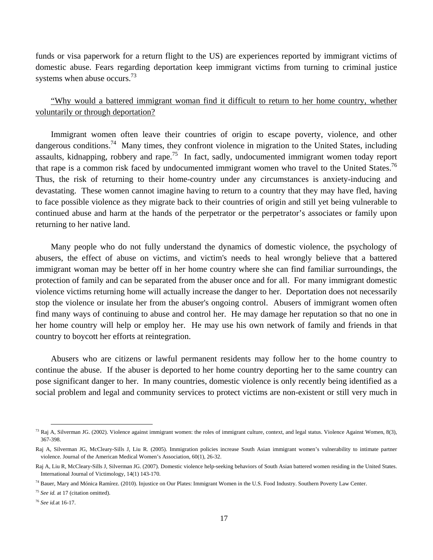funds or visa paperwork for a return flight to the US) are experiences reported by immigrant victims of domestic abuse. Fears regarding deportation keep immigrant victims from turning to criminal justice systems when abuse occurs.<sup>73</sup>

"Why would a battered immigrant woman find it difficult to return to her home country, whether voluntarily or through deportation?

Immigrant women often leave their countries of origin to escape poverty, violence, and other dangerous conditions.<sup>74</sup> Many times, they confront violence in migration to the United States, including assaults, kidnapping, robbery and rape.<sup>75</sup> In fact, sadly, undocumented immigrant women today report that rape is a common risk faced by undocumented immigrant women who travel to the United States.<sup>76</sup> Thus, the risk of returning to their home-country under any circumstances is anxiety-inducing and devastating. These women cannot imagine having to return to a country that they may have fled, having to face possible violence as they migrate back to their countries of origin and still yet being vulnerable to continued abuse and harm at the hands of the perpetrator or the perpetrator's associates or family upon returning to her native land.

Many people who do not fully understand the dynamics of domestic violence, the psychology of abusers, the effect of abuse on victims, and victim's needs to heal wrongly believe that a battered immigrant woman may be better off in her home country where she can find familiar surroundings, the protection of family and can be separated from the abuser once and for all. For many immigrant domestic violence victims returning home will actually increase the danger to her. Deportation does not necessarily stop the violence or insulate her from the abuser's ongoing control. Abusers of immigrant women often find many ways of continuing to abuse and control her. He may damage her reputation so that no one in her home country will help or employ her. He may use his own network of family and friends in that country to boycott her efforts at reintegration.

Abusers who are citizens or lawful permanent residents may follow her to the home country to continue the abuse. If the abuser is deported to her home country deporting her to the same country can pose significant danger to her. In many countries, domestic violence is only recently being identified as a social problem and legal and community services to protect victims are non-existent or still very much in

 $^{73}$  Raj A, Silverman JG. (2002). Violence against immigrant women: the roles of immigrant culture, context, and legal status. Violence Against Women, 8(3), 367-398.

Raj A, Silverman JG, McCleary-Sills J, Liu R. (2005). Immigration policies increase South Asian immigrant women's vulnerability to intimate partner violence. Journal of the American Medical Women's Association, 60(1), 26-32.

Raj A, Liu R, McCleary-Sills J, Silverman JG. (2007). Domestic violence help-seeking behaviors of South Asian battered women residing in the United States. International Journal of Victimology, 14(1) 143-170.

<sup>74</sup> Bauer, Mary and Mónica Ramírez. (2010). Injustice on Our Plates: Immigrant Women in the U.S. Food Industry. Southern Poverty Law Center.

<sup>&</sup>lt;sup>75</sup> *See id.* at 17 (citation omitted).

<sup>76</sup> *See id.*at 16-17.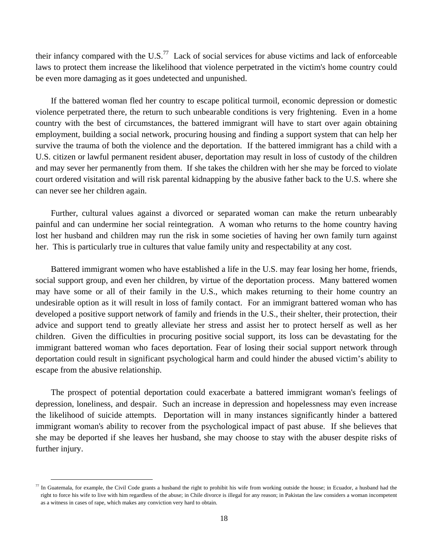their infancy compared with the U.S.<sup>77</sup> Lack of social services for abuse victims and lack of enforceable laws to protect them increase the likelihood that violence perpetrated in the victim's home country could be even more damaging as it goes undetected and unpunished.

If the battered woman fled her country to escape political turmoil, economic depression or domestic violence perpetrated there, the return to such unbearable conditions is very frightening. Even in a home country with the best of circumstances, the battered immigrant will have to start over again obtaining employment, building a social network, procuring housing and finding a support system that can help her survive the trauma of both the violence and the deportation. If the battered immigrant has a child with a U.S. citizen or lawful permanent resident abuser, deportation may result in loss of custody of the children and may sever her permanently from them. If she takes the children with her she may be forced to violate court ordered visitation and will risk parental kidnapping by the abusive father back to the U.S. where she can never see her children again.

Further, cultural values against a divorced or separated woman can make the return unbearably painful and can undermine her social reintegration. A woman who returns to the home country having lost her husband and children may run the risk in some societies of having her own family turn against her. This is particularly true in cultures that value family unity and respectability at any cost.

Battered immigrant women who have established a life in the U.S. may fear losing her home, friends, social support group, and even her children, by virtue of the deportation process. Many battered women may have some or all of their family in the U.S., which makes returning to their home country an undesirable option as it will result in loss of family contact. For an immigrant battered woman who has developed a positive support network of family and friends in the U.S., their shelter, their protection, their advice and support tend to greatly alleviate her stress and assist her to protect herself as well as her children. Given the difficulties in procuring positive social support, its loss can be devastating for the immigrant battered woman who faces deportation. Fear of losing their social support network through deportation could result in significant psychological harm and could hinder the abused victim's ability to escape from the abusive relationship.

The prospect of potential deportation could exacerbate a battered immigrant woman's feelings of depression, loneliness, and despair. Such an increase in depression and hopelessness may even increase the likelihood of suicide attempts. Deportation will in many instances significantly hinder a battered immigrant woman's ability to recover from the psychological impact of past abuse. If she believes that she may be deported if she leaves her husband, she may choose to stay with the abuser despite risks of further injury.

 $\frac{77}{10}$  In Guatemala, for example, the Civil Code grants a husband the right to prohibit his wife from working outside the house; in Ecuador, a husband had the right to force his wife to live with him regardless of the abuse; in Chile divorce is illegal for any reason; in Pakistan the law considers a woman incompetent as a witness in cases of rape, which makes any conviction very hard to obtain.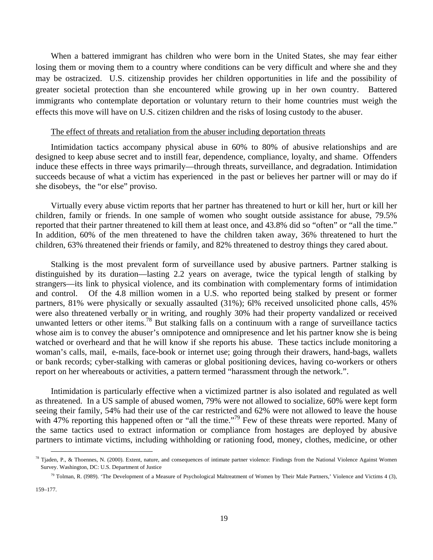When a battered immigrant has children who were born in the United States, she may fear either losing them or moving them to a country where conditions can be very difficult and where she and they may be ostracized. U.S. citizenship provides her children opportunities in life and the possibility of greater societal protection than she encountered while growing up in her own country. Battered immigrants who contemplate deportation or voluntary return to their home countries must weigh the effects this move will have on U.S. citizen children and the risks of losing custody to the abuser.

#### The effect of threats and retaliation from the abuser including deportation threats

Intimidation tactics accompany physical abuse in 60% to 80% of abusive relationships and are designed to keep abuse secret and to instill fear, dependence, compliance, loyalty, and shame. Offenders induce these effects in three ways primarily—through threats, surveillance, and degradation. Intimidation succeeds because of what a victim has experienced in the past or believes her partner will or may do if she disobeys, the "or else" proviso.

Virtually every abuse victim reports that her partner has threatened to hurt or kill her, hurt or kill her children, family or friends. In one sample of women who sought outside assistance for abuse, 79.5% reported that their partner threatened to kill them at least once, and 43.8% did so "often" or "all the time." In addition, 60% of the men threatened to have the children taken away, 36% threatened to hurt the children, 63% threatened their friends or family, and 82% threatened to destroy things they cared about.

Stalking is the most prevalent form of surveillance used by abusive partners. Partner stalking is distinguished by its duration—lasting 2.2 years on average, twice the typical length of stalking by strangers—its link to physical violence, and its combination with complementary forms of intimidation and control. Of the 4.8 million women in a U.S. who reported being stalked by present or former partners, 81% were physically or sexually assaulted (31%); 6l% received unsolicited phone calls, 45% were also threatened verbally or in writing, and roughly 30% had their property vandalized or received unwanted letters or other items.<sup>78</sup> But stalking falls on a continuum with a range of surveillance tactics whose aim is to convey the abuser's omnipotence and omnipresence and let his partner know she is being watched or overheard and that he will know if she reports his abuse. These tactics include monitoring a woman's calls, mail, e-mails, face-book or internet use; going through their drawers, hand-bags, wallets or bank records; cyber-stalking with cameras or global positioning devices, having co-workers or others report on her whereabouts or activities, a pattern termed "harassment through the network.".

Intimidation is particularly effective when a victimized partner is also isolated and regulated as well as threatened. In a US sample of abused women, 79% were not allowed to socialize, 60% were kept form seeing their family, 54% had their use of the car restricted and 62% were not allowed to leave the house with 47% reporting this happened often or "all the time."<sup>79</sup> Few of these threats were reported. Many of the same tactics used to extract information or compliance from hostages are deployed by abusive partners to intimate victims, including withholding or rationing food, money, clothes, medicine, or other

 $^{78}$  Tjaden, P., & Thoennes, N. (2000). Extent, nature, and consequences of intimate partner violence: Findings from the National Violence Against Women Survey. Washington, DC: U.S. Department of Justice

 $^{79}$  Tolman, R. (1989). 'The Development of a Measure of Psychological Maltreatment of Women by Their Male Partners,' Violence and Victims 4 (3),

<sup>159–177.</sup>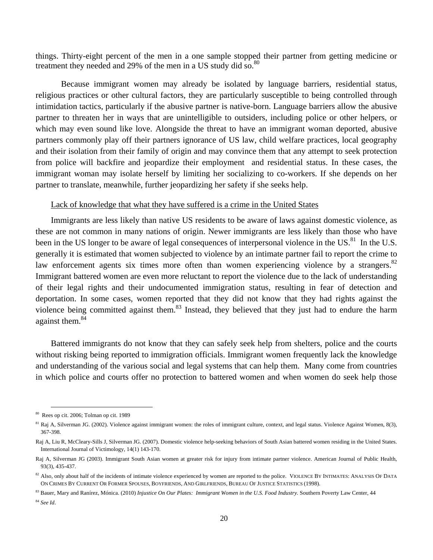things. Thirty-eight percent of the men in a one sample stopped their partner from getting medicine or treatment they needed and 29% of the men in a US study did so.<sup>80</sup>

 Because immigrant women may already be isolated by language barriers, residential status, religious practices or other cultural factors, they are particularly susceptible to being controlled through intimidation tactics, particularly if the abusive partner is native-born. Language barriers allow the abusive partner to threaten her in ways that are unintelligible to outsiders, including police or other helpers, or which may even sound like love. Alongside the threat to have an immigrant woman deported, abusive partners commonly play off their partners ignorance of US law, child welfare practices, local geography and their isolation from their family of origin and may convince them that any attempt to seek protection from police will backfire and jeopardize their employment and residential status. In these cases, the immigrant woman may isolate herself by limiting her socializing to co-workers. If she depends on her partner to translate, meanwhile, further jeopardizing her safety if she seeks help.

#### Lack of knowledge that what they have suffered is a crime in the United States

Immigrants are less likely than native US residents to be aware of laws against domestic violence, as these are not common in many nations of origin. Newer immigrants are less likely than those who have been in the US longer to be aware of legal consequences of interpersonal violence in the US.<sup>81</sup> In the U.S. generally it is estimated that women subjected to violence by an intimate partner fail to report the crime to law enforcement agents six times more often than women experiencing violence by a strangers. $82$ Immigrant battered women are even more reluctant to report the violence due to the lack of understanding of their legal rights and their undocumented immigration status, resulting in fear of detection and deportation. In some cases, women reported that they did not know that they had rights against the violence being committed against them.<sup>83</sup> Instead, they believed that they just had to endure the harm against them.<sup>84</sup>

Battered immigrants do not know that they can safely seek help from shelters, police and the courts without risking being reported to immigration officials. Immigrant women frequently lack the knowledge and understanding of the various social and legal systems that can help them. Many come from countries in which police and courts offer no protection to battered women and when women do seek help those

 <sup>80</sup> Rees op cit. 2006; Tolman op cit. 1989

 $81$  Raj A, Silverman JG. (2002). Violence against immigrant women: the roles of immigrant culture, context, and legal status. Violence Against Women, 8(3), 367-398.

Raj A, Liu R, McCleary-Sills J, Silverman JG. (2007). Domestic violence help-seeking behaviors of South Asian battered women residing in the United States. International Journal of Victimology, 14(1) 143-170.

Raj A, Silverman JG (2003). Immigrant South Asian women at greater risk for injury from intimate partner violence. American Journal of Public Health, 93(3), 435-437.

 $82$  Also, only about half of the incidents of intimate violence experienced by women are reported to the police. VIOLENCE BY INTIMATES: ANALYSIS OF DATA ON CRIMES BY CURRENT OR FORMER SPOUSES, BOYFRIENDS, AND GIRLFRIENDS, BUREAU OF JUSTICE STATISTICS (1998).

<sup>83</sup> Bauer, Mary and Ranírez, Mónica. (2010) *Injustice On Our Plates: Immigrant Women in the U.S. Food Industry.* Southern Poverty Law Center, 44

<sup>84</sup> *See Id*.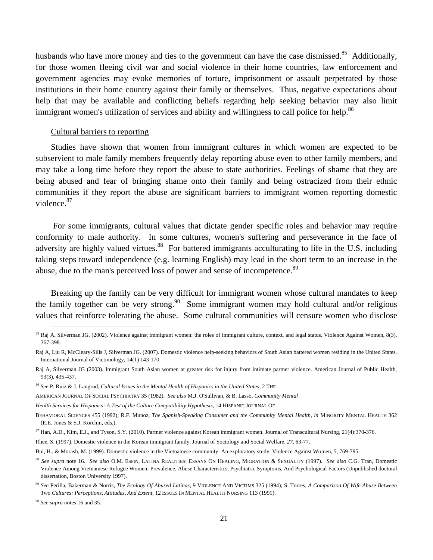husbands who have more money and ties to the government can have the case dismissed.<sup>85</sup> Additionally, for those women fleeing civil war and social violence in their home countries, law enforcement and government agencies may evoke memories of torture, imprisonment or assault perpetrated by those institutions in their home country against their family or themselves. Thus, negative expectations about help that may be available and conflicting beliefs regarding help seeking behavior may also limit immigrant women's utilization of services and ability and willingness to call police for help.<sup>86</sup>

## Cultural barriers to reporting

Studies have shown that women from immigrant cultures in which women are expected to be subservient to male family members frequently delay reporting abuse even to other family members, and may take a long time before they report the abuse to state authorities. Feelings of shame that they are being abused and fear of bringing shame onto their family and being ostracized from their ethnic communities if they report the abuse are significant barriers to immigrant women reporting domestic violence.87

 For some immigrants, cultural values that dictate gender specific roles and behavior may require conformity to male authority. In some cultures, women's suffering and perseverance in the face of adversity are highly valued virtues.<sup>88</sup> For battered immigrants acculturating to life in the U.S. including taking steps toward independence (e.g. learning English) may lead in the short term to an increase in the abuse, due to the man's perceived loss of power and sense of incompetence.<sup>89</sup>

Breaking up the family can be very difficult for immigrant women whose cultural mandates to keep the family together can be very strong.<sup>90</sup> Some immigrant women may hold cultural and/or religious values that reinforce tolerating the abuse. Some cultural communities will censure women who disclose

<sup>&</sup>lt;sup>85</sup> Raj A, Silverman JG. (2002). Violence against immigrant women: the roles of immigrant culture, context, and legal status. Violence Against Women, 8(3), 367-398.

Raj A, Liu R, McCleary-Sills J, Silverman JG. (2007). Domestic violence help-seeking behaviors of South Asian battered women residing in the United States. International Journal of Victimology, 14(1) 143-170.

Raj A, Silverman JG (2003). Immigrant South Asian women at greater risk for injury from intimate partner violence. American Journal of Public Health, 93(3), 435-437.

<sup>86</sup> *See* P. Ruiz & J. Langrod, *Cultural Issues in the Mental Health of Hispanics in the United States*, 2 THE

AMERICAN JOURNAL OF SOCIAL PSYCHIATRY 35 (1982). *See also* M.J. O'Sullivan, & B. Lasso, *Community Mental* 

*Health Services for Hispanics: A Test of the Culture Compatibility Hypothesis*, 14 HISPANIC JOURNAL OF

BEHAVIORAL SCIENCES 455 (1992); R.F. Munoz, *The Spanish-Speaking Consumer and the Community Mental Health, in* MINORITY MENTAL HEALTH 362 (E.E. Jones & S.J. Korchin, eds.).

<sup>&</sup>lt;sup>87</sup> Han, A.D., Kim, E.J., and Tyson, S.Y. (2010). Partner violence against Korean immigrant women. Journal of Transcultural Nursing, 21(4):370-376.

Rhee, S. (1997). Domestic violence in the Korean immigrant family. Journal of Sociology and Social Welfare*, 27*, 63-77.

Bui, H., & Morash, M. (1999). Domestic violence in the Vietnamese community: An exploratory study. Violence Against Women, *5*, 769-795.

<sup>88</sup> *See supra* note 16. *See also* O.M. ESPIN, LATINA REALITIES: ESSAYS ON HEALING, MIGRATION & SEXUALITY (1997). *See also* C.G. Tran, Domestic Violence Among Vietnamese Refugee Women: Prevalence, Abuse Characteristics, Psychiatric Symptoms, And Psychological Factors (Unpublished doctoral dissertation, Boston University 1997).

<sup>89</sup> *See* Perilla, Bakerman & Norris, *The Ecology Of Abused Latinas,* 9 VIOLENCE AND VICTIMS 325 (1994); S. Torres, *A Comparison Of Wife Abuse Between Two Cultures: Perceptions, Attitudes, And Extent,* 12 ISSUES IN MENTAL HEALTH NURSING 113 (1991).

<sup>90</sup> *See supra* notes 16 and 35.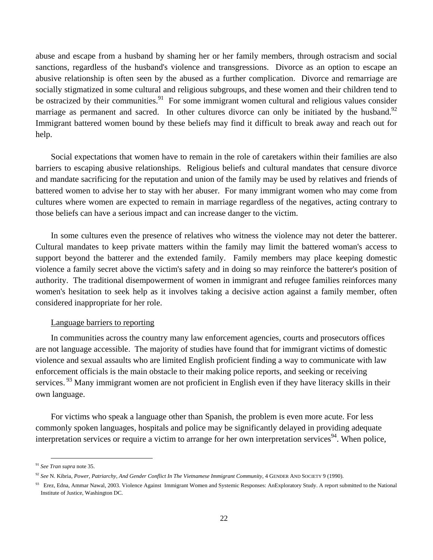abuse and escape from a husband by shaming her or her family members, through ostracism and social sanctions, regardless of the husband's violence and transgressions. Divorce as an option to escape an abusive relationship is often seen by the abused as a further complication. Divorce and remarriage are socially stigmatized in some cultural and religious subgroups, and these women and their children tend to be ostracized by their communities.<sup>91</sup> For some immigrant women cultural and religious values consider marriage as permanent and sacred. In other cultures divorce can only be initiated by the husband.<sup>92</sup> Immigrant battered women bound by these beliefs may find it difficult to break away and reach out for help.

Social expectations that women have to remain in the role of caretakers within their families are also barriers to escaping abusive relationships. Religious beliefs and cultural mandates that censure divorce and mandate sacrificing for the reputation and union of the family may be used by relatives and friends of battered women to advise her to stay with her abuser. For many immigrant women who may come from cultures where women are expected to remain in marriage regardless of the negatives, acting contrary to those beliefs can have a serious impact and can increase danger to the victim.

In some cultures even the presence of relatives who witness the violence may not deter the batterer. Cultural mandates to keep private matters within the family may limit the battered woman's access to support beyond the batterer and the extended family. Family members may place keeping domestic violence a family secret above the victim's safety and in doing so may reinforce the batterer's position of authority. The traditional disempowerment of women in immigrant and refugee families reinforces many women's hesitation to seek help as it involves taking a decisive action against a family member, often considered inappropriate for her role.

## Language barriers to reporting

In communities across the country many law enforcement agencies, courts and prosecutors offices are not language accessible. The majority of studies have found that for immigrant victims of domestic violence and sexual assaults who are limited English proficient finding a way to communicate with law enforcement officials is the main obstacle to their making police reports, and seeking or receiving services.<sup>93</sup> Many immigrant women are not proficient in English even if they have literacy skills in their own language.

For victims who speak a language other than Spanish, the problem is even more acute. For less commonly spoken languages, hospitals and police may be significantly delayed in providing adequate interpretation services or require a victim to arrange for her own interpretation services<sup>94</sup>. When police,

 <sup>91</sup> *See Tran supra* note 35.

<sup>92</sup> *See* N. Kibria, *Power, Patriarchy, And Gender Conflict In The Vietnamese Immigrant Community,* 4 GENDER AND SOCIETY 9 (1990).

<sup>&</sup>lt;sup>93</sup> Erez, Edna, Ammar Nawal, 2003. Violence Against Immigrant Women and Systemic Responses: AnExploratory Study. A report submitted to the National Institute of Justice, Washington DC.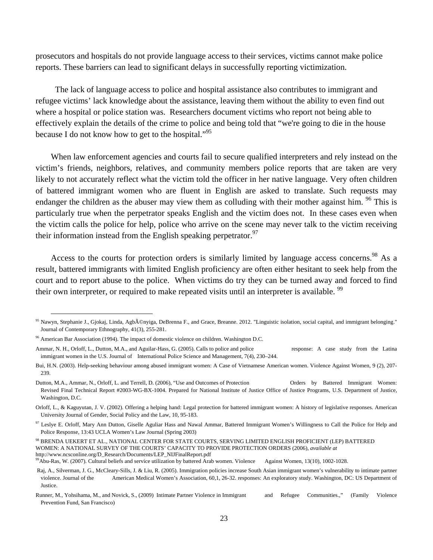prosecutors and hospitals do not provide language access to their services, victims cannot make police reports. These barriers can lead to significant delays in successfully reporting victimization.

 The lack of language access to police and hospital assistance also contributes to immigrant and refugee victims' lack knowledge about the assistance, leaving them without the ability to even find out where a hospital or police station was. Researchers document victims who report not being able to effectively explain the details of the crime to police and being told that "we're going to die in the house because I do not know how to get to the hospital."95

When law enforcement agencies and courts fail to secure qualified interpreters and rely instead on the victim's friends, neighbors, relatives, and community members police reports that are taken are very likely to not accurately reflect what the victim told the officer in her native language. Very often children of battered immigrant women who are fluent in English are asked to translate. Such requests may endanger the children as the abuser may view them as colluding with their mother against him. <sup>96</sup> This is particularly true when the perpetrator speaks English and the victim does not. In these cases even when the victim calls the police for help, police who arrive on the scene may never talk to the victim receiving their information instead from the English speaking perpetrator.<sup>97</sup>

Access to the courts for protection orders is similarly limited by language access concerns.<sup>98</sup> As a result, battered immigrants with limited English proficiency are often either hesitant to seek help from the court and to report abuse to the police. When victims do try they can be turned away and forced to find their own interpreter, or required to make repeated visits until an interpreter is available.<sup>99</sup>

http://www.ncsconline.org/D\_Research/Documents/LEP\_NIJFinalReport.pdf<br><sup>99</sup>Abu-Ras, W. (2007). Cultural beliefs and service utilization by battered Arab women. Violence Against Women, 13(10), 1002-1028.

<sup>&</sup>lt;sup>95</sup> Nawyn, Stephanie J., Gjokaj, Linda, Agb©nyiga, DeBrenna F., and Grace, Breanne. 2012. "Linguistic isolation, social capital, and immigrant belonging." Journal of Contemporary Ethnography, 41(3), 255-281.

<sup>&</sup>lt;sup>96</sup> American Bar Association (1994). The impact of domestic violence on children. Washington D.C.

Ammar, N. H., Orloff, L., Dutton, M.A., and Aguilar-Hass, G. (2005). Calls to police and police response: A case study from the Latina immigrant women in the U.S. Journal of International Police Science and Management, 7(4), 230–244.

Bui, H.N. (2003). Help-seeking behaviour among abused immigrant women: A Case of Vietnamese American women. Violence Against Women, 9 (2), 207- 239.

Dutton, M.A., Ammar, N., Orloff, L. and Terrell, D. (2006), "Use and Outcomes of Protection Orders by Battered Immigrant Women: Revised Final Technical Report #2003-WG-BX-1004. Prepared for National Institute of Justice Office of Justice Programs, U.S. Department of Justice, Washington, D.C.

Orloff, L., & Kaguyutan, J. V. (2002). Offering a helping hand: Legal protection for battered immigrant women: A history of legislative responses. American University Journal of Gender, Social Policy and the Law, 10, 95-183.

<sup>97</sup> Leslye E. Orloff, Mary Ann Dutton, Giselle Aguliar Hass and Nawal Ammar, Battered Immigrant Women's Willingness to Call the Police for Help and Police Response, 13:43 UCLA Women's Law Journal (Spring 2003)

<sup>98</sup> BRENDA UEKERT ET AL., NATIONAL CENTER FOR STATE COURTS, SERVING LIMITED ENGLISH PROFICIENT (LEP) BATTERED WOMEN: A NATIONAL SURVEY OF THE COURTS' CAPACITY TO PROVIDE PROTECTION ORDERS (2006), *available at* 

Raj, A., Silverman, J. G., McCleary-Sills, J. & Liu, R. (2005). Immigration policies increase South Asian immigrant women's vulnerability to intimate partner violence. Journal of the American Medical Women's Association, 60,1, 26-32. responses: An exploratory study. Washington, DC: US Department of **Justice** 

Runner, M., Yohsihama, M., and Novick, S., (2009) Intimate Partner Violence in Immigrant and Refugee Communities.," (Family Violence Prevention Fund, San Francisco)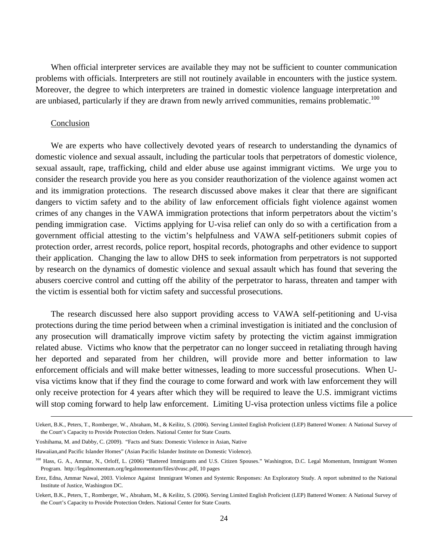When official interpreter services are available they may not be sufficient to counter communication problems with officials. Interpreters are still not routinely available in encounters with the justice system. Moreover, the degree to which interpreters are trained in domestic violence language interpretation and are unbiased, particularly if they are drawn from newly arrived communities, remains problematic.<sup>100</sup>

#### Conclusion

l

We are experts who have collectively devoted years of research to understanding the dynamics of domestic violence and sexual assault, including the particular tools that perpetrators of domestic violence, sexual assault, rape, trafficking, child and elder abuse use against immigrant victims. We urge you to consider the research provide you here as you consider reauthorization of the violence against women act and its immigration protections. The research discussed above makes it clear that there are significant dangers to victim safety and to the ability of law enforcement officials fight violence against women crimes of any changes in the VAWA immigration protections that inform perpetrators about the victim's pending immigration case. Victims applying for U-visa relief can only do so with a certification from a government official attesting to the victim's helpfulness and VAWA self-petitioners submit copies of protection order, arrest records, police report, hospital records, photographs and other evidence to support their application. Changing the law to allow DHS to seek information from perpetrators is not supported by research on the dynamics of domestic violence and sexual assault which has found that severing the abusers coercive control and cutting off the ability of the perpetrator to harass, threaten and tamper with the victim is essential both for victim safety and successful prosecutions.

The research discussed here also support providing access to VAWA self-petitioning and U-visa protections during the time period between when a criminal investigation is initiated and the conclusion of any prosecution will dramatically improve victim safety by protecting the victim against immigration related abuse. Victims who know that the perpetrator can no longer succeed in retaliating through having her deported and separated from her children, will provide more and better information to law enforcement officials and will make better witnesses, leading to more successful prosecutions. When Uvisa victims know that if they find the courage to come forward and work with law enforcement they will only receive protection for 4 years after which they will be required to leave the U.S. immigrant victims will stop coming forward to help law enforcement. Limiting U-visa protection unless victims file a police

Uekert, B.K., Peters, T., Romberger, W., Abraham, M., & Keilitz, S. (2006). Serving Limited English Proficient (LEP) Battered Women: A National Survey of the Court's Capacity to Provide Protection Orders. National Center for State Courts.

Yoshihama, M. and Dabby, C. (2009). "Facts and Stats: Domestic Violence in Asian, Native

Hawaiian,and Pacific Islander Homes" (Asian Pacific Islander Institute on Domestic Violence).

<sup>&</sup>lt;sup>100</sup> Hass, G. A., Ammar, N., Orloff, L. (2006) "Battered Immigrants and U.S. Citizen Spouses." Washington, D.C. Legal Momentum, Immigrant Women Program. http://legalmomentum.org/legalmomentum/files/dvusc.pdf, 10 pages

Erez, Edna, Ammar Nawal, 2003. Violence Against Immigrant Women and Systemic Responses: An Exploratory Study. A report submitted to the National Institute of Justice, Washington DC.

Uekert, B.K., Peters, T., Romberger, W., Abraham, M., & Keilitz, S. (2006). Serving Limited English Proficient (LEP) Battered Women: A National Survey of the Court's Capacity to Provide Protection Orders. National Center for State Courts.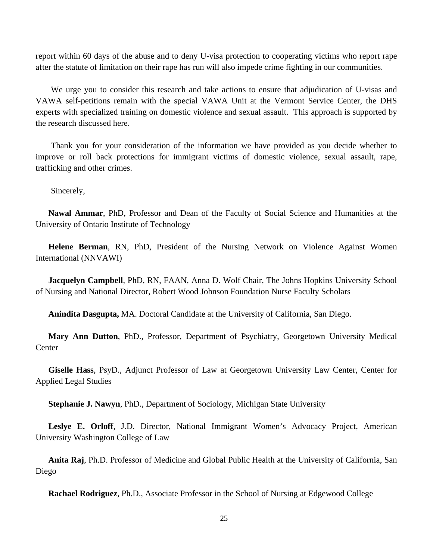report within 60 days of the abuse and to deny U-visa protection to cooperating victims who report rape after the statute of limitation on their rape has run will also impede crime fighting in our communities.

We urge you to consider this research and take actions to ensure that adjudication of U-visas and VAWA self-petitions remain with the special VAWA Unit at the Vermont Service Center, the DHS experts with specialized training on domestic violence and sexual assault. This approach is supported by the research discussed here.

Thank you for your consideration of the information we have provided as you decide whether to improve or roll back protections for immigrant victims of domestic violence, sexual assault, rape, trafficking and other crimes.

Sincerely,

**Nawal Ammar**, PhD, Professor and Dean of the Faculty of Social Science and Humanities at the University of Ontario Institute of Technology

**Helene Berman**, RN, PhD, President of the Nursing Network on Violence Against Women International (NNVAWI)

**Jacquelyn Campbell**, PhD, RN, FAAN, Anna D. Wolf Chair, The Johns Hopkins University School of Nursing and National Director, Robert Wood Johnson Foundation Nurse Faculty Scholars

**Anindita Dasgupta,** MA. Doctoral Candidate at the University of California, San Diego.

**Mary Ann Dutton**, PhD., Professor, Department of Psychiatry, Georgetown University Medical **Center** 

**Giselle Hass**, PsyD., Adjunct Professor of Law at Georgetown University Law Center, Center for Applied Legal Studies

**Stephanie J. Nawyn**, PhD., Department of Sociology, Michigan State University

**Leslye E. Orloff**, J.D. Director, National Immigrant Women's Advocacy Project, American University Washington College of Law

**Anita Raj**, Ph.D. Professor of Medicine and Global Public Health at the University of California, San Diego

**Rachael Rodriguez**, Ph.D., Associate Professor in the School of Nursing at Edgewood College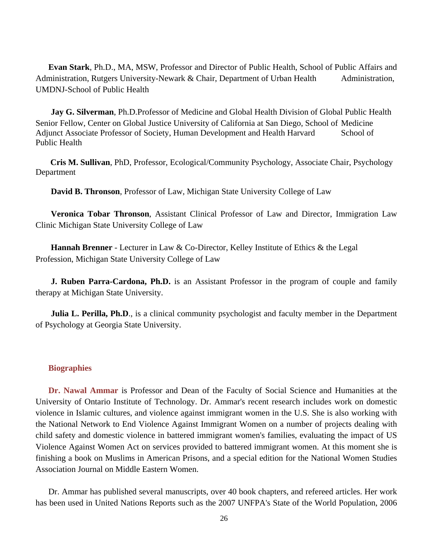**Evan Stark**, Ph.D., MA, MSW, Professor and Director of Public Health, School of Public Affairs and Administration, Rutgers University-Newark & Chair, Department of Urban Health Administration, UMDNJ-School of Public Health

**Jay G. Silverman**, Ph.D.Professor of Medicine and Global Health Division of Global Public Health Senior Fellow, Center on Global Justice University of California at San Diego, School of Medicine Adjunct Associate Professor of Society, Human Development and Health Harvard School of Public Health

 **Cris M. Sullivan**, PhD, Professor, Ecological/Community Psychology, Associate Chair, Psychology Department

**David B. Thronson**, Professor of Law, Michigan State University College of Law

**Veronica Tobar Thronson**, Assistant Clinical Professor of Law and Director, Immigration Law Clinic Michigan State University College of Law

**Hannah Brenner** - Lecturer in Law & Co-Director, Kelley Institute of Ethics & the Legal Profession, Michigan State University College of Law

**J. Ruben Parra-Cardona, Ph.D.** is an Assistant Professor in the program of couple and family therapy at Michigan State University.

**Julia L. Perilla, Ph.D.**, is a clinical community psychologist and faculty member in the Department of Psychology at Georgia State University.

## **Biographies**

**Dr. Nawal Ammar** is Professor and Dean of the Faculty of Social Science and Humanities at the University of Ontario Institute of Technology. Dr. Ammar's recent research includes work on domestic violence in Islamic cultures, and violence against immigrant women in the U.S. She is also working with the National Network to End Violence Against Immigrant Women on a number of projects dealing with child safety and domestic violence in battered immigrant women's families, evaluating the impact of US Violence Against Women Act on services provided to battered immigrant women. At this moment she is finishing a book on Muslims in American Prisons, and a special edition for the National Women Studies Association Journal on Middle Eastern Women.

Dr. Ammar has published several manuscripts, over 40 book chapters, and refereed articles. Her work has been used in United Nations Reports such as the 2007 UNFPA's State of the World Population, 2006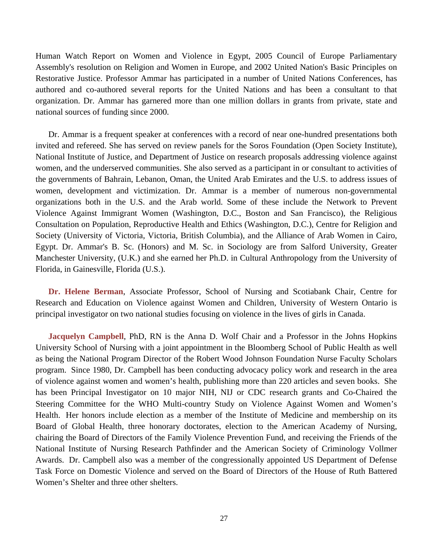Human Watch Report on Women and Violence in Egypt, 2005 Council of Europe Parliamentary Assembly's resolution on Religion and Women in Europe, and 2002 United Nation's Basic Principles on Restorative Justice. Professor Ammar has participated in a number of United Nations Conferences, has authored and co-authored several reports for the United Nations and has been a consultant to that organization. Dr. Ammar has garnered more than one million dollars in grants from private, state and national sources of funding since 2000.

Dr. Ammar is a frequent speaker at conferences with a record of near one-hundred presentations both invited and refereed. She has served on review panels for the Soros Foundation (Open Society Institute), National Institute of Justice, and Department of Justice on research proposals addressing violence against women, and the underserved communities. She also served as a participant in or consultant to activities of the governments of Bahrain, Lebanon, Oman, the United Arab Emirates and the U.S. to address issues of women, development and victimization. Dr. Ammar is a member of numerous non-governmental organizations both in the U.S. and the Arab world. Some of these include the Network to Prevent Violence Against Immigrant Women (Washington, D.C., Boston and San Francisco), the Religious Consultation on Population, Reproductive Health and Ethics (Washington, D.C.), Centre for Religion and Society (University of Victoria, Victoria, British Columbia), and the Alliance of Arab Women in Cairo, Egypt. Dr. Ammar's B. Sc. (Honors) and M. Sc. in Sociology are from Salford University, Greater Manchester University, (U.K.) and she earned her Ph.D. in Cultural Anthropology from the University of Florida, in Gainesville, Florida (U.S.).

**Dr. Helene Berman**, Associate Professor, School of Nursing and Scotiabank Chair, Centre for Research and Education on Violence against Women and Children, University of Western Ontario is principal investigator on two national studies focusing on violence in the lives of girls in Canada.

**Jacquelyn Campbell**, PhD, RN is the Anna D. Wolf Chair and a Professor in the Johns Hopkins University School of Nursing with a joint appointment in the Bloomberg School of Public Health as well as being the National Program Director of the Robert Wood Johnson Foundation Nurse Faculty Scholars program. Since 1980, Dr. Campbell has been conducting advocacy policy work and research in the area of violence against women and women's health, publishing more than 220 articles and seven books. She has been Principal Investigator on 10 major NIH, NIJ or CDC research grants and Co-Chaired the Steering Committee for the WHO Multi-country Study on Violence Against Women and Women's Health. Her honors include election as a member of the Institute of Medicine and membership on its Board of Global Health, three honorary doctorates, election to the American Academy of Nursing, chairing the Board of Directors of the Family Violence Prevention Fund, and receiving the Friends of the National Institute of Nursing Research Pathfinder and the American Society of Criminology Vollmer Awards. Dr. Campbell also was a member of the congressionally appointed US Department of Defense Task Force on Domestic Violence and served on the Board of Directors of the House of Ruth Battered Women's Shelter and three other shelters.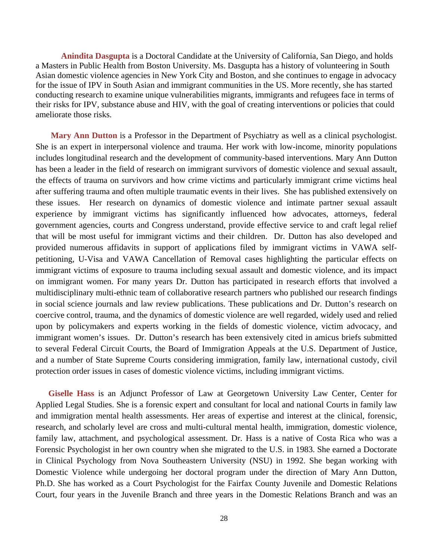**Anindita Dasgupta** is a Doctoral Candidate at the University of California, San Diego, and holds a Masters in Public Health from Boston University. Ms. Dasgupta has a history of volunteering in South Asian domestic violence agencies in New York City and Boston, and she continues to engage in advocacy for the issue of IPV in South Asian and immigrant communities in the US. More recently, she has started conducting research to examine unique vulnerabilities migrants, immigrants and refugees face in terms of their risks for IPV, substance abuse and HIV, with the goal of creating interventions or policies that could ameliorate those risks.

**Mary Ann Dutton** is a Professor in the Department of Psychiatry as well as a clinical psychologist. She is an expert in interpersonal violence and trauma. Her work with low-income, minority populations includes longitudinal research and the development of community-based interventions. Mary Ann Dutton has been a leader in the field of research on immigrant survivors of domestic violence and sexual assault, the effects of trauma on survivors and how crime victims and particularly immigrant crime victims heal after suffering trauma and often multiple traumatic events in their lives. She has published extensively on these issues. Her research on dynamics of domestic violence and intimate partner sexual assault experience by immigrant victims has significantly influenced how advocates, attorneys, federal government agencies, courts and Congress understand, provide effective service to and craft legal relief that will be most useful for immigrant victims and their children. Dr. Dutton has also developed and provided numerous affidavits in support of applications filed by immigrant victims in VAWA selfpetitioning, U-Visa and VAWA Cancellation of Removal cases highlighting the particular effects on immigrant victims of exposure to trauma including sexual assault and domestic violence, and its impact on immigrant women. For many years Dr. Dutton has participated in research efforts that involved a multidisciplinary multi-ethnic team of collaborative research partners who published our research findings in social science journals and law review publications. These publications and Dr. Dutton's research on coercive control, trauma, and the dynamics of domestic violence are well regarded, widely used and relied upon by policymakers and experts working in the fields of domestic violence, victim advocacy, and immigrant women's issues. Dr. Dutton's research has been extensively cited in amicus briefs submitted to several Federal Circuit Courts, the Board of Immigration Appeals at the U.S. Department of Justice, and a number of State Supreme Courts considering immigration, family law, international custody, civil protection order issues in cases of domestic violence victims, including immigrant victims.

**Giselle Hass** is an Adjunct Professor of Law at Georgetown University Law Center, Center for Applied Legal Studies. She is a forensic expert and consultant for local and national Courts in family law and immigration mental health assessments. Her areas of expertise and interest at the clinical, forensic, research, and scholarly level are cross and multi-cultural mental health, immigration, domestic violence, family law, attachment, and psychological assessment. Dr. Hass is a native of Costa Rica who was a Forensic Psychologist in her own country when she migrated to the U.S. in 1983. She earned a Doctorate in Clinical Psychology from Nova Southeastern University (NSU) in 1992. She began working with Domestic Violence while undergoing her doctoral program under the direction of Mary Ann Dutton, Ph.D. She has worked as a Court Psychologist for the Fairfax County Juvenile and Domestic Relations Court, four years in the Juvenile Branch and three years in the Domestic Relations Branch and was an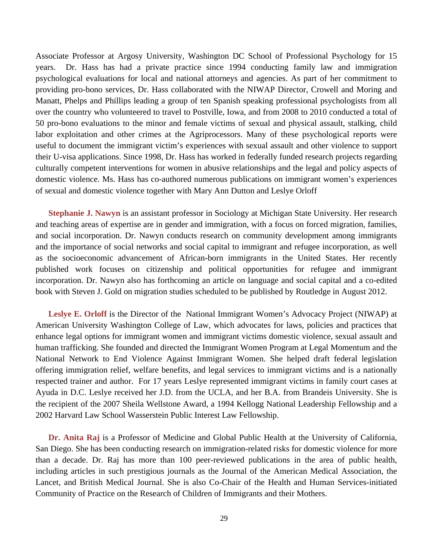Associate Professor at Argosy University, Washington DC School of Professional Psychology for 15 years. Dr. Hass has had a private practice since 1994 conducting family law and immigration psychological evaluations for local and national attorneys and agencies. As part of her commitment to providing pro-bono services, Dr. Hass collaborated with the NIWAP Director, Crowell and Moring and Manatt, Phelps and Phillips leading a group of ten Spanish speaking professional psychologists from all over the country who volunteered to travel to Postville, Iowa, and from 2008 to 2010 conducted a total of 50 pro-bono evaluations to the minor and female victims of sexual and physical assault, stalking, child labor exploitation and other crimes at the Agriprocessors. Many of these psychological reports were useful to document the immigrant victim's experiences with sexual assault and other violence to support their U-visa applications. Since 1998, Dr. Hass has worked in federally funded research projects regarding culturally competent interventions for women in abusive relationships and the legal and policy aspects of domestic violence. Ms. Hass has co-authored numerous publications on immigrant women's experiences of sexual and domestic violence together with Mary Ann Dutton and Leslye Orloff

**Stephanie J. Nawyn** is an assistant professor in Sociology at Michigan State University. Her research and teaching areas of expertise are in gender and immigration, with a focus on forced migration, families, and social incorporation. Dr. Nawyn conducts research on community development among immigrants and the importance of social networks and social capital to immigrant and refugee incorporation, as well as the socioeconomic advancement of African-born immigrants in the United States. Her recently published work focuses on citizenship and political opportunities for refugee and immigrant incorporation. Dr. Nawyn also has forthcoming an article on language and social capital and a co-edited book with Steven J. Gold on migration studies scheduled to be published by Routledge in August 2012.

**Leslye E. Orloff** is the Director of the National Immigrant Women's Advocacy Project (NIWAP) at American University Washington College of Law, which advocates for laws, policies and practices that enhance legal options for immigrant women and immigrant victims domestic violence, sexual assault and human trafficking. She founded and directed the Immigrant Women Program at Legal Momentum and the National Network to End Violence Against Immigrant Women. She helped draft federal legislation offering immigration relief, welfare benefits, and legal services to immigrant victims and is a nationally respected trainer and author. For 17 years Leslye represented immigrant victims in family court cases at Ayuda in D.C. Leslye received her J.D. from the UCLA, and her B.A. from Brandeis University. She is the recipient of the 2007 Sheila Wellstone Award, a 1994 Kellogg National Leadership Fellowship and a 2002 Harvard Law School Wasserstein Public Interest Law Fellowship.

**Dr. Anita Raj** is a Professor of Medicine and Global Public Health at the University of California, San Diego. She has been conducting research on immigration-related risks for domestic violence for more than a decade. Dr. Raj has more than 100 peer-reviewed publications in the area of public health, including articles in such prestigious journals as the Journal of the American Medical Association, the Lancet, and British Medical Journal. She is also Co-Chair of the Health and Human Services-initiated Community of Practice on the Research of Children of Immigrants and their Mothers.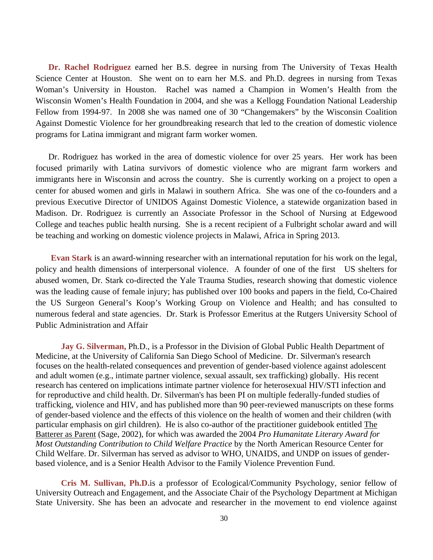**Dr. Rachel Rodriguez** earned her B.S. degree in nursing from The University of Texas Health Science Center at Houston. She went on to earn her M.S. and Ph.D. degrees in nursing from Texas Woman's University in Houston. Rachel was named a Champion in Women's Health from the Wisconsin Women's Health Foundation in 2004, and she was a Kellogg Foundation National Leadership Fellow from 1994-97. In 2008 she was named one of 30 "Changemakers" by the Wisconsin Coalition Against Domestic Violence for her groundbreaking research that led to the creation of domestic violence programs for Latina immigrant and migrant farm worker women.

Dr. Rodriguez has worked in the area of domestic violence for over 25 years. Her work has been focused primarily with Latina survivors of domestic violence who are migrant farm workers and immigrants here in Wisconsin and across the country. She is currently working on a project to open a center for abused women and girls in Malawi in southern Africa. She was one of the co-founders and a previous Executive Director of UNIDOS Against Domestic Violence, a statewide organization based in Madison. Dr. Rodriguez is currently an Associate Professor in the School of Nursing at Edgewood College and teaches public health nursing. She is a recent recipient of a Fulbright scholar award and will be teaching and working on domestic violence projects in Malawi, Africa in Spring 2013.

**Evan Stark** is an award-winning researcher with an international reputation for his work on the legal, policy and health dimensions of interpersonal violence. A founder of one of the first US shelters for abused women, Dr. Stark co-directed the Yale Trauma Studies, research showing that domestic violence was the leading cause of female injury; has published over 100 books and papers in the field, Co-Chaired the US Surgeon General's Koop's Working Group on Violence and Health; and has consulted to numerous federal and state agencies. Dr. Stark is Professor Emeritus at the Rutgers University School of Public Administration and Affair

 **Jay G. Silverman,** Ph.D., is a Professor in the Division of Global Public Health Department of Medicine, at the University of California San Diego School of Medicine. Dr. Silverman's research focuses on the health-related consequences and prevention of gender-based violence against adolescent and adult women (e.g., intimate partner violence, sexual assault, sex trafficking) globally. His recent research has centered on implications intimate partner violence for heterosexual HIV/STI infection and for reproductive and child health. Dr. Silverman's has been PI on multiple federally-funded studies of trafficking, violence and HIV, and has published more than 90 peer-reviewed manuscripts on these forms of gender-based violence and the effects of this violence on the health of women and their children (with particular emphasis on girl children). He is also co-author of the practitioner guidebook entitled The Batterer as Parent (Sage, 2002), for which was awarded the 2004 *Pro Humanitate Literary Award for Most Outstanding Contribution to Child Welfare Practice* by the North American Resource Center for Child Welfare. Dr. Silverman has served as advisor to WHO, UNAIDS, and UNDP on issues of genderbased violence, and is a Senior Health Advisor to the Family Violence Prevention Fund.

 **Cris M. Sullivan, Ph.D.**is a professor of Ecological/Community Psychology, senior fellow of University Outreach and Engagement, and the Associate Chair of the Psychology Department at Michigan State University. She has been an advocate and researcher in the movement to end violence against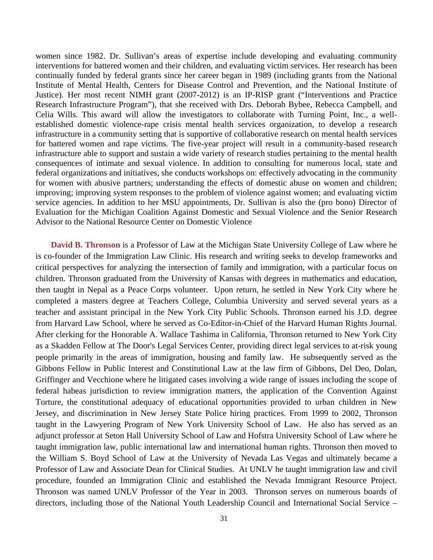women since 1982. Dr. Sullivan's areas of expertise include developing and evaluating community interventions for battered women and their children, and evaluating victim services. Her research has been continually funded by federal grants since her career began in 1989 (including grants from the National Institute of Mental Health, Centers for Disease Control and Prevention, and the National Institute of Justice). Her most recent NIMH grant (2007-2012) is an IP-RISP grant ("Interventions and Practice Research Infrastructure Program"), that she received with Drs. Deborah Bybee, Rebecca Campbell, and Celia Wills. This award will allow the investigators to collaborate with Turning Point, Inc., a wellestablished domestic violence-rape crisis mental health services organization, to develop a research infrastructure in a community setting that is supportive of collaborative research on mental health services for battered women and rape victims. The five-year project will result in a community-based research infrastructure able to support and sustain a wide variety of research studies pertaining to the mental health consequences of intimate and sexual violence. In addition to consulting for numerous local, state and federal organizations and initiatives, she conducts workshops on: effectively advocating in the community for women with abusive partners; understanding the effects of domestic abuse on women and children; improving; improving system responses to the problem of violence against women; and evaluating victim service agencies. In addition to her MSU appointments, Dr. Sullivan is also the (pro bono) Director of Evaluation for the Michigan Coalition Against Domestic and Sexual Violence and the Senior Research Advisor to the National Resource Center on Domestic Violence

**David B. Thronson** is a Professor of Law at the Michigan State University College of Law where he is co-founder of the Immigration Law Clinic. His research and writing seeks to develop frameworks and critical perspectives for analyzing the intersection of family and immigration, with a particular focus on children. Thronson graduated from the University of Kansas with degrees in mathematics and education, then taught in Nepal as a Peace Corps volunteer. Upon return, he settled in New York City where he completed a masters degree at Teachers College, Columbia University and served several years as a teacher and assistant principal in the New York City Public Schools. Thronson earned his J.D. degree from Harvard Law School, where he served as Co-Editor-in-Chief of the Harvard Human Rights Journal. After clerking for the Honorable A. Wallace Tashima in California, Thronson returned to New York City as a Skadden Fellow at The Door's Legal Services Center, providing direct legal services to at-risk young people primarily in the areas of immigration, housing and family law. He subsequently served as the Gibbons Fellow in Public Interest and Constitutional Law at the law firm of Gibbons, Del Deo, Dolan, Griffinger and Vecchione where he litigated cases involving a wide range of issues including the scope of federal habeas jurisdiction to review immigration matters, the application of the Convention Against Torture, the constitutional adequacy of educational opportunities provided to urban children in New Jersey, and discrimination in New Jersey State Police hiring practices. From 1999 to 2002, Thronson taught in the Lawyering Program of New York University School of Law. He also has served as an adjunct professor at Seton Hall University School of Law and Hofstra University School of Law where he taught immigration law, public international law and international human rights. Thronson then moved to the William S. Boyd School of Law at the University of Nevada Las Vegas and ultimately became a Professor of Law and Associate Dean for Clinical Studies. At UNLV he taught immigration law and civil procedure, founded an Immigration Clinic and established the Nevada Immigrant Resource Project. Thronson was named UNLV Professor of the Year in 2003. Thronson serves on numerous boards of directors, including those of the National Youth Leadership Council and International Social Service –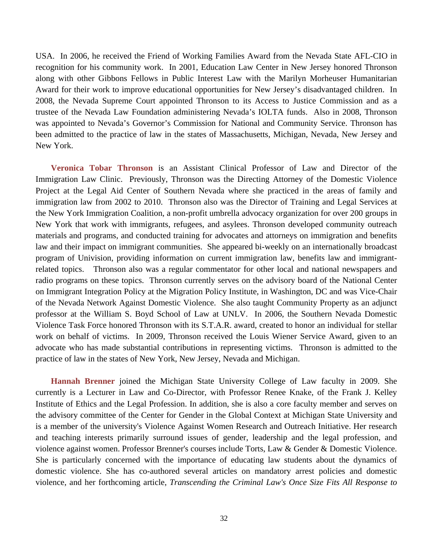USA. In 2006, he received the Friend of Working Families Award from the Nevada State AFL-CIO in recognition for his community work. In 2001, Education Law Center in New Jersey honored Thronson along with other Gibbons Fellows in Public Interest Law with the Marilyn Morheuser Humanitarian Award for their work to improve educational opportunities for New Jersey's disadvantaged children. In 2008, the Nevada Supreme Court appointed Thronson to its Access to Justice Commission and as a trustee of the Nevada Law Foundation administering Nevada's IOLTA funds. Also in 2008, Thronson was appointed to Nevada's Governor's Commission for National and Community Service. Thronson has been admitted to the practice of law in the states of Massachusetts, Michigan, Nevada, New Jersey and New York.

**Veronica Tobar Thronson** is an Assistant Clinical Professor of Law and Director of the Immigration Law Clinic. Previously, Thronson was the Directing Attorney of the Domestic Violence Project at the Legal Aid Center of Southern Nevada where she practiced in the areas of family and immigration law from 2002 to 2010. Thronson also was the Director of Training and Legal Services at the New York Immigration Coalition, a non-profit umbrella advocacy organization for over 200 groups in New York that work with immigrants, refugees, and asylees. Thronson developed community outreach materials and programs, and conducted training for advocates and attorneys on immigration and benefits law and their impact on immigrant communities. She appeared bi-weekly on an internationally broadcast program of Univision, providing information on current immigration law, benefits law and immigrantrelated topics. Thronson also was a regular commentator for other local and national newspapers and radio programs on these topics. Thronson currently serves on the advisory board of the National Center on Immigrant Integration Policy at the Migration Policy Institute, in Washington, DC and was Vice-Chair of the Nevada Network Against Domestic Violence. She also taught Community Property as an adjunct professor at the William S. Boyd School of Law at UNLV. In 2006, the Southern Nevada Domestic Violence Task Force honored Thronson with its S.T.A.R. award, created to honor an individual for stellar work on behalf of victims. In 2009, Thronson received the Louis Wiener Service Award, given to an advocate who has made substantial contributions in representing victims. Thronson is admitted to the practice of law in the states of New York, New Jersey, Nevada and Michigan.

**Hannah Brenner** joined the Michigan State University College of Law faculty in 2009. She currently is a Lecturer in Law and Co-Director, with Professor Renee Knake, of the Frank J. Kelley Institute of Ethics and the Legal Profession. In addition, she is also a core faculty member and serves on the advisory committee of the Center for Gender in the Global Context at Michigan State University and is a member of the university's Violence Against Women Research and Outreach Initiative. Her research and teaching interests primarily surround issues of gender, leadership and the legal profession, and violence against women. Professor Brenner's courses include Torts, Law & Gender & Domestic Violence. She is particularly concerned with the importance of educating law students about the dynamics of domestic violence. She has co-authored several articles on mandatory arrest policies and domestic violence, and her forthcoming article, *Transcending the Criminal Law's Once Size Fits All Response to*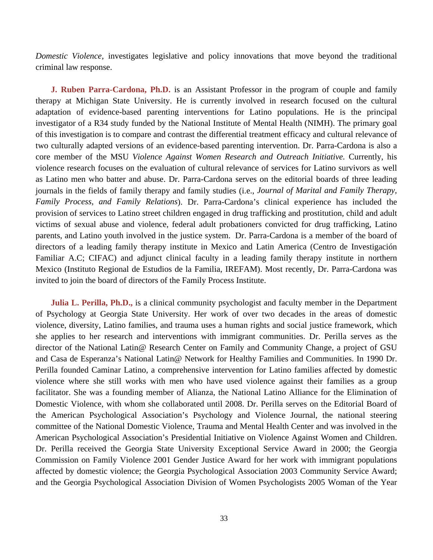*Domestic Violence,* investigates legislative and policy innovations that move beyond the traditional criminal law response.

**J. Ruben Parra-Cardona, Ph.D.** is an Assistant Professor in the program of couple and family therapy at Michigan State University. He is currently involved in research focused on the cultural adaptation of evidence-based parenting interventions for Latino populations. He is the principal investigator of a R34 study funded by the National Institute of Mental Health (NIMH). The primary goal of this investigation is to compare and contrast the differential treatment efficacy and cultural relevance of two culturally adapted versions of an evidence-based parenting intervention. Dr. Parra-Cardona is also a core member of the MSU *Violence Against Women Research and Outreach Initiative.* Currently, his violence research focuses on the evaluation of cultural relevance of services for Latino survivors as well as Latino men who batter and abuse. Dr. Parra-Cardona serves on the editorial boards of three leading journals in the fields of family therapy and family studies (i.e., *Journal of Marital and Family Therapy, Family Process, and Family Relations*). Dr. Parra-Cardona's clinical experience has included the provision of services to Latino street children engaged in drug trafficking and prostitution, child and adult victims of sexual abuse and violence, federal adult probationers convicted for drug trafficking, Latino parents, and Latino youth involved in the justice system. Dr. Parra-Cardona is a member of the board of directors of a leading family therapy institute in Mexico and Latin America (Centro de Investigación Familiar A.C; CIFAC) and adjunct clinical faculty in a leading family therapy institute in northern Mexico (Instituto Regional de Estudios de la Familia, IREFAM). Most recently, Dr. Parra-Cardona was invited to join the board of directors of the Family Process Institute.

**Julia L. Perilla, Ph.D.,** is a clinical community psychologist and faculty member in the Department of Psychology at Georgia State University. Her work of over two decades in the areas of domestic violence, diversity, Latino families, and trauma uses a human rights and social justice framework, which she applies to her research and interventions with immigrant communities. Dr. Perilla serves as the director of the National Latin@ Research Center on Family and Community Change, a project of GSU and Casa de Esperanza's National Latin@ Network for Healthy Families and Communities. In 1990 Dr. Perilla founded Caminar Latino, a comprehensive intervention for Latino families affected by domestic violence where she still works with men who have used violence against their families as a group facilitator. She was a founding member of Alianza, the National Latino Alliance for the Elimination of Domestic Violence, with whom she collaborated until 2008. Dr. Perilla serves on the Editorial Board of the American Psychological Association's Psychology and Violence Journal, the national steering committee of the National Domestic Violence, Trauma and Mental Health Center and was involved in the American Psychological Association's Presidential Initiative on Violence Against Women and Children. Dr. Perilla received the Georgia State University Exceptional Service Award in 2000; the Georgia Commission on Family Violence 2001 Gender Justice Award for her work with immigrant populations affected by domestic violence; the Georgia Psychological Association 2003 Community Service Award; and the Georgia Psychological Association Division of Women Psychologists 2005 Woman of the Year